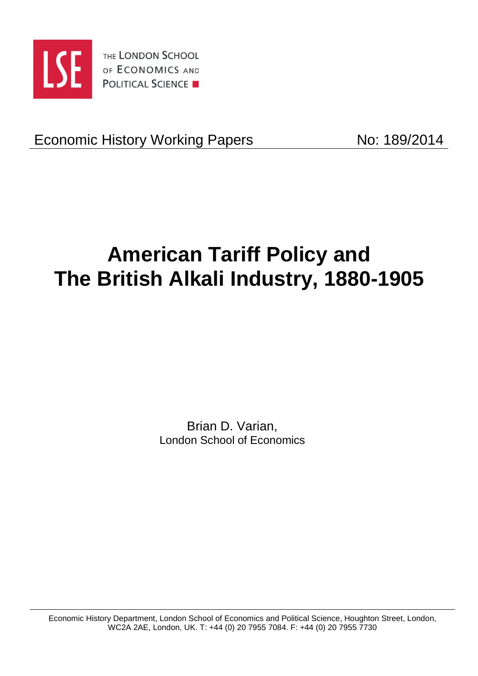

THE LONDON SCHOOL OF ECONOMICS AND **POLITICAL SCIENCE** 

Economic History Working Papers No: 189/2014

# **American Tariff Policy and The British Alkali Industry, 1880-1905**

Brian D. Varian, London School of Economics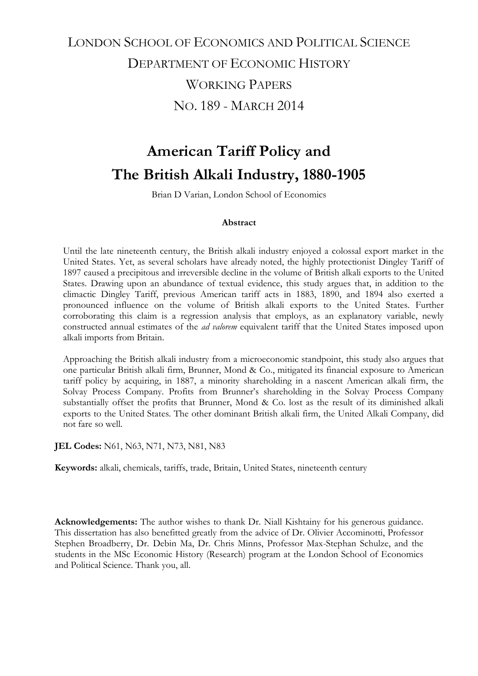# LONDON SCHOOL OF ECONOMICS AND POLITICAL SCIENCE DEPARTMENT OF ECONOMIC HISTORY WORKING PAPERS NO. 189 - MARCH 2014

# **American Tariff Policy and The British Alkali Industry, 1880-1905**

Brian D Varian, London School of Economics

### **Abstract**

Until the late nineteenth century, the British alkali industry enjoyed a colossal export market in the United States. Yet, as several scholars have already noted, the highly protectionist Dingley Tariff of 1897 caused a precipitous and irreversible decline in the volume of British alkali exports to the United States. Drawing upon an abundance of textual evidence, this study argues that, in addition to the climactic Dingley Tariff, previous American tariff acts in 1883, 1890, and 1894 also exerted a pronounced influence on the volume of British alkali exports to the United States. Further corroborating this claim is a regression analysis that employs, as an explanatory variable, newly constructed annual estimates of the *ad valorem* equivalent tariff that the United States imposed upon alkali imports from Britain.

Approaching the British alkali industry from a microeconomic standpoint, this study also argues that one particular British alkali firm, Brunner, Mond & Co., mitigated its financial exposure to American tariff policy by acquiring, in 1887, a minority shareholding in a nascent American alkali firm, the Solvay Process Company. Profits from Brunner's shareholding in the Solvay Process Company substantially offset the profits that Brunner, Mond & Co. lost as the result of its diminished alkali exports to the United States. The other dominant British alkali firm, the United Alkali Company, did not fare so well.

**JEL Codes:** N61, N63, N71, N73, N81, N83

**Keywords:** alkali, chemicals, tariffs, trade, Britain, United States, nineteenth century

**Acknowledgements:** The author wishes to thank Dr. Niall Kishtainy for his generous guidance. This dissertation has also benefitted greatly from the advice of Dr. Olivier Accominotti, Professor Stephen Broadberry, Dr. Debin Ma, Dr. Chris Minns, Professor Max-Stephan Schulze, and the students in the MSc Economic History (Research) program at the London School of Economics and Political Science. Thank you, all.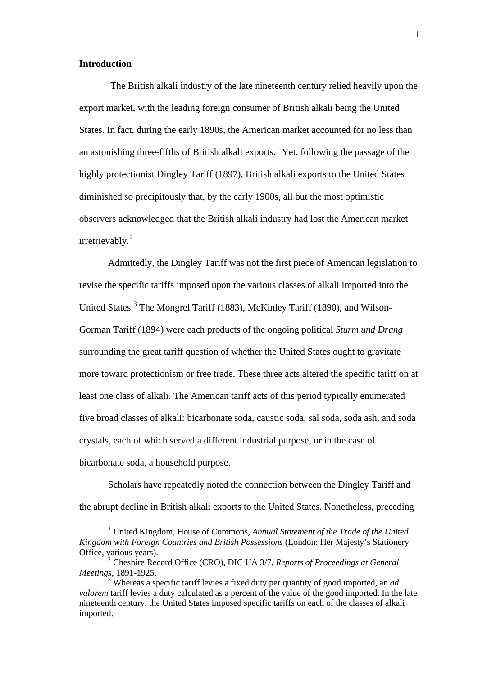#### **Introduction**

The British alkali industry of the late nineteenth century relied heavily upon the export market, with the leading foreign consumer of British alkali being the United States. In fact, during the early 1890s, the American market accounted for no less than an astonishing three-fifths of British alkali exports. <sup>1</sup> Yet, following the passage of the highly protectionist Dingley Tariff (1897), British alkali exports to the United States diminished so precipitously that, by the early 1900s, all but the most optimistic observers acknowledged that the British alkali industry had lost the American market irretrievably.<sup>[2](#page-2-0)</sup>

Admittedly, the Dingley Tariff was not the first piece of American legislation to revise the specific tariffs imposed upon the various classes of alkali imported into the United States.[3](#page-2-1) The Mongrel Tariff (1883), McKinley Tariff (1890), and Wilson-Gorman Tariff (1894) were each products of the ongoing political *Sturm und Drang*  surrounding the great tariff question of whether the United States ought to gravitate more toward protectionism or free trade. These three acts altered the specific tariff on at least one class of alkali. The American tariff acts of this period typically enumerated five broad classes of alkali: bicarbonate soda, caustic soda, sal soda, soda ash, and soda crystals, each of which served a different industrial purpose, or in the case of bicarbonate soda, a household purpose.

Scholars have repeatedly noted the connection between the Dingley Tariff and the abrupt decline in British alkali exports to the United States. Nonetheless, preceding

 <sup>1</sup> United Kingdom, House of Commons, *Annual Statement of the Trade of the United Kingdom with Foreign Countries and British Possessions* (London: Her Majesty's Stationery Office, various years).

<span id="page-2-2"></span><span id="page-2-0"></span><sup>2</sup> Cheshire Record Office (CRO), DIC UA 3/7, *Reports of Proceedings at General Meetings*, 1891-1925.

<span id="page-2-1"></span><sup>3</sup> Whereas a specific tariff levies a fixed duty per quantity of good imported, an *ad valorem* tariff levies a duty calculated as a percent of the value of the good imported. In the late nineteenth century, the United States imposed specific tariffs on each of the classes of alkali imported.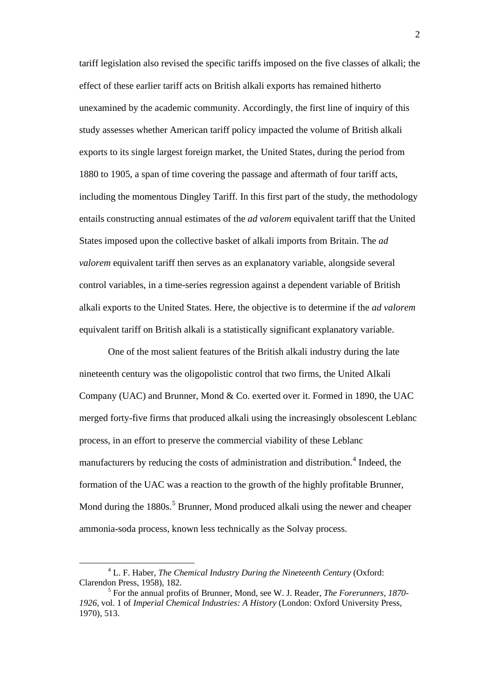tariff legislation also revised the specific tariffs imposed on the five classes of alkali; the effect of these earlier tariff acts on British alkali exports has remained hitherto unexamined by the academic community. Accordingly, the first line of inquiry of this study assesses whether American tariff policy impacted the volume of British alkali exports to its single largest foreign market, the United States, during the period from 1880 to 1905, a span of time covering the passage and aftermath of four tariff acts, including the momentous Dingley Tariff. In this first part of the study, the methodology entails constructing annual estimates of the *ad valorem* equivalent tariff that the United States imposed upon the collective basket of alkali imports from Britain. The *ad valorem* equivalent tariff then serves as an explanatory variable, alongside several control variables, in a time-series regression against a dependent variable of British alkali exports to the United States. Here, the objective is to determine if the *ad valorem*  equivalent tariff on British alkali is a statistically significant explanatory variable.

One of the most salient features of the British alkali industry during the late nineteenth century was the oligopolistic control that two firms, the United Alkali Company (UAC) and Brunner, Mond & Co. exerted over it. Formed in 1890, the UAC merged forty-five firms that produced alkali using the increasingly obsolescent Leblanc process, in an effort to preserve the commercial viability of these Leblanc manufacturers by reducing the costs of administration and distribution. [4](#page-2-2) Indeed, the formation of the UAC was a reaction to the growth of the highly profitable Brunner, Mond during the 1880s.<sup>[5](#page-3-0)</sup> Brunner, Mond produced alkali using the newer and cheaper ammonia-soda process, known less technically as the Solvay process.

 <sup>4</sup> L. F. Haber, *The Chemical Industry During the Nineteenth Century* (Oxford: Clarendon Press, 1958), 182.

<span id="page-3-0"></span><sup>5</sup> For the annual profits of Brunner, Mond, see W. J. Reader, *The Forerunners, 1870- 1926*, vol. 1 of *Imperial Chemical Industries: A History* (London: Oxford University Press, 1970), 513.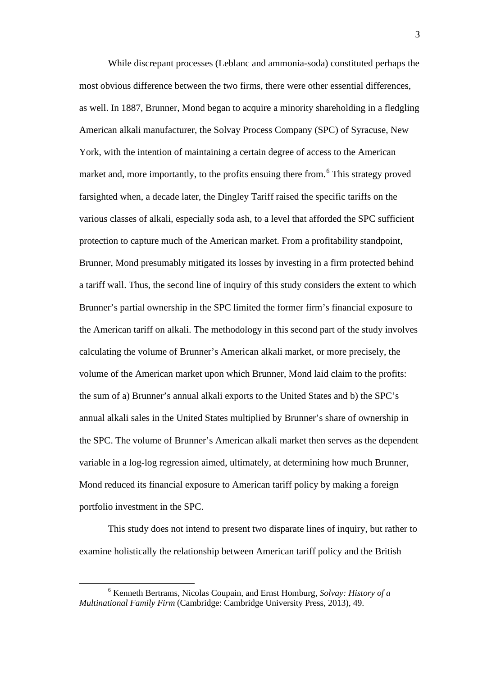While discrepant processes (Leblanc and ammonia-soda) constituted perhaps the most obvious difference between the two firms, there were other essential differences, as well. In 1887, Brunner, Mond began to acquire a minority shareholding in a fledgling American alkali manufacturer, the Solvay Process Company (SPC) of Syracuse, New York, with the intention of maintaining a certain degree of access to the American market and, more importantly, to the profits ensuing there from.<sup>[6](#page-3-0)</sup> This strategy proved farsighted when, a decade later, the Dingley Tariff raised the specific tariffs on the various classes of alkali, especially soda ash, to a level that afforded the SPC sufficient protection to capture much of the American market. From a profitability standpoint, Brunner, Mond presumably mitigated its losses by investing in a firm protected behind a tariff wall. Thus, the second line of inquiry of this study considers the extent to which Brunner's partial ownership in the SPC limited the former firm's financial exposure to the American tariff on alkali. The methodology in this second part of the study involves calculating the volume of Brunner's American alkali market, or more precisely, the volume of the American market upon which Brunner, Mond laid claim to the profits: the sum of a) Brunner's annual alkali exports to the United States and b) the SPC's annual alkali sales in the United States multiplied by Brunner's share of ownership in the SPC. The volume of Brunner's American alkali market then serves as the dependent variable in a log-log regression aimed, ultimately, at determining how much Brunner, Mond reduced its financial exposure to American tariff policy by making a foreign portfolio investment in the SPC.

This study does not intend to present two disparate lines of inquiry, but rather to examine holistically the relationship between American tariff policy and the British

<span id="page-4-0"></span> <sup>6</sup> Kenneth Bertrams, Nicolas Coupain, and Ernst Homburg, *Solvay: History of a Multinational Family Firm* (Cambridge: Cambridge University Press, 2013), 49.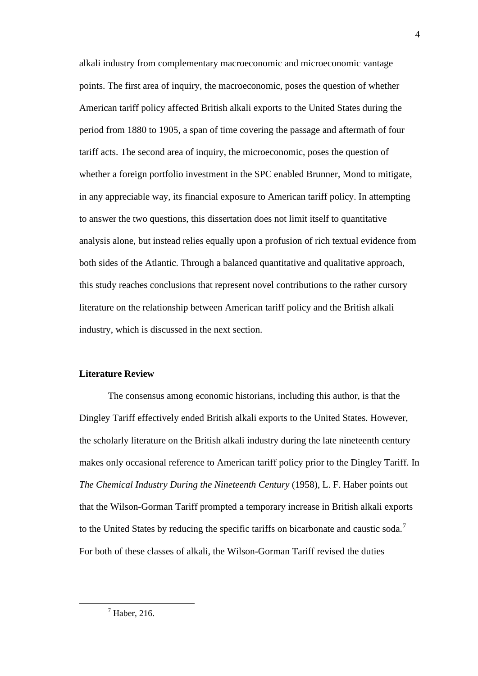alkali industry from complementary macroeconomic and microeconomic vantage points. The first area of inquiry, the macroeconomic, poses the question of whether American tariff policy affected British alkali exports to the United States during the period from 1880 to 1905, a span of time covering the passage and aftermath of four tariff acts. The second area of inquiry, the microeconomic, poses the question of whether a foreign portfolio investment in the SPC enabled Brunner, Mond to mitigate, in any appreciable way, its financial exposure to American tariff policy. In attempting to answer the two questions, this dissertation does not limit itself to quantitative analysis alone, but instead relies equally upon a profusion of rich textual evidence from both sides of the Atlantic. Through a balanced quantitative and qualitative approach, this study reaches conclusions that represent novel contributions to the rather cursory literature on the relationship between American tariff policy and the British alkali industry, which is discussed in the next section.

# **Literature Review**

The consensus among economic historians, including this author, is that the Dingley Tariff effectively ended British alkali exports to the United States. However, the scholarly literature on the British alkali industry during the late nineteenth century makes only occasional reference to American tariff policy prior to the Dingley Tariff. In *The Chemical Industry During the Nineteenth Century* (1958), L. F. Haber points out that the Wilson-Gorman Tariff prompted a temporary increase in British alkali exports to the United States by reducing the specific tariffs on bicarbonate and caustic soda.<sup>[7](#page-4-0)</sup> For both of these classes of alkali, the Wilson-Gorman Tariff revised the duties

<span id="page-5-0"></span> $<sup>7</sup>$  Haber, 216.</sup>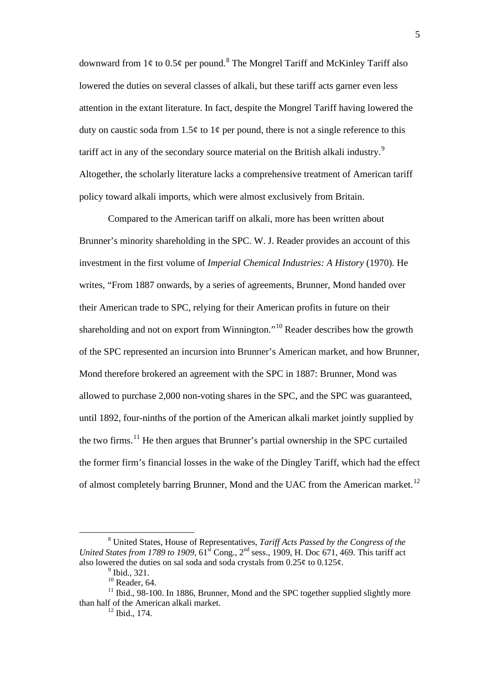downward from  $1\ell$  to  $0.5\ell$  per pound.<sup>[8](#page-5-0)</sup> The Mongrel Tariff and McKinley Tariff also lowered the duties on several classes of alkali, but these tariff acts garner even less attention in the extant literature. In fact, despite the Mongrel Tariff having lowered the duty on caustic soda from 1.5¢ to 1¢ per pound, there is not a single reference to this tariff act in any of the secondary source material on the British alkali industry.<sup>[9](#page-6-0)</sup> Altogether, the scholarly literature lacks a comprehensive treatment of American tariff policy toward alkali imports, which were almost exclusively from Britain.

Compared to the American tariff on alkali, more has been written about Brunner's minority shareholding in the SPC. W. J. Reader provides an account of this investment in the first volume of *Imperial Chemical Industries: A History* (1970). He writes, "From 1887 onwards, by a series of agreements, Brunner, Mond handed over their American trade to SPC, relying for their American profits in future on their shareholding and not on export from Winnington."[10](#page-6-1) Reader describes how the growth of the SPC represented an incursion into Brunner's American market, and how Brunner, Mond therefore brokered an agreement with the SPC in 1887: Brunner, Mond was allowed to purchase 2,000 non-voting shares in the SPC, and the SPC was guaranteed, until 1892, four-ninths of the portion of the American alkali market jointly supplied by the two firms.[11](#page-6-2) He then argues that Brunner's partial ownership in the SPC curtailed the former firm's financial losses in the wake of the Dingley Tariff, which had the effect of almost completely barring Brunner, Mond and the UAC from the American market.<sup>[12](#page-6-3)</sup>

 <sup>8</sup> United States, House of Representatives, *Tariff Acts Passed by the Congress of the United States from 1789 to 1909*, 61<sup>st</sup> Cong., 2<sup>nd</sup> sess., 1909, H. Doc 671, 469. This tariff act also lowered the duties on sal soda and soda crystals from  $0.25\ell$  to  $0.125\ell$ .

 $<sup>9</sup>$  Ibid., 321.</sup>

 $10$  Reader, 64.

<span id="page-6-3"></span><span id="page-6-2"></span><span id="page-6-1"></span><span id="page-6-0"></span> $11$  Ibid., 98-100. In 1886, Brunner, Mond and the SPC together supplied slightly more than half of the American alkali market.

 $12$  Ibid., 174.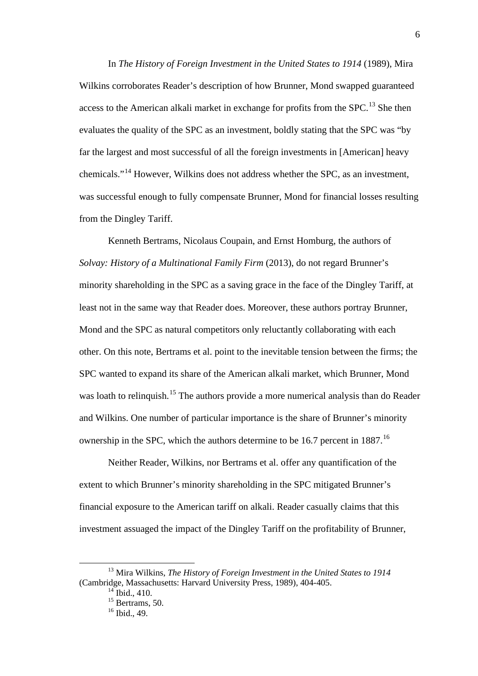In *The History of Foreign Investment in the United States to 1914* (1989), Mira Wilkins corroborates Reader's description of how Brunner, Mond swapped guaranteed access to the American alkali market in exchange for profits from the SPC.<sup>[13](#page-6-0)</sup> She then evaluates the quality of the SPC as an investment, boldly stating that the SPC was "by far the largest and most successful of all the foreign investments in [American] heavy chemicals."[14](#page-7-0) However, Wilkins does not address whether the SPC, as an investment, was successful enough to fully compensate Brunner, Mond for financial losses resulting from the Dingley Tariff.

Kenneth Bertrams, Nicolaus Coupain, and Ernst Homburg, the authors of *Solvay: History of a Multinational Family Firm* (2013), do not regard Brunner's minority shareholding in the SPC as a saving grace in the face of the Dingley Tariff, at least not in the same way that Reader does. Moreover, these authors portray Brunner, Mond and the SPC as natural competitors only reluctantly collaborating with each other. On this note, Bertrams et al. point to the inevitable tension between the firms; the SPC wanted to expand its share of the American alkali market, which Brunner, Mond was loath to relinquish.<sup>[15](#page-7-1)</sup> The authors provide a more numerical analysis than do Reader and Wilkins. One number of particular importance is the share of Brunner's minority ownership in the SPC, which the authors determine to be [16](#page-7-2).7 percent in 1887.<sup>16</sup>

Neither Reader, Wilkins, nor Bertrams et al. offer any quantification of the extent to which Brunner's minority shareholding in the SPC mitigated Brunner's financial exposure to the American tariff on alkali. Reader casually claims that this investment assuaged the impact of the Dingley Tariff on the profitability of Brunner,

<span id="page-7-3"></span><span id="page-7-2"></span><span id="page-7-1"></span><span id="page-7-0"></span> <sup>13</sup> Mira Wilkins, *The History of Foreign Investment in the United States to 1914* (Cambridge, Massachusetts: Harvard University Press, 1989), 404-405.

 $^{14}$  Ibid., 410.

 $15$  Bertrams, 50.

 $16$  Ibid., 49.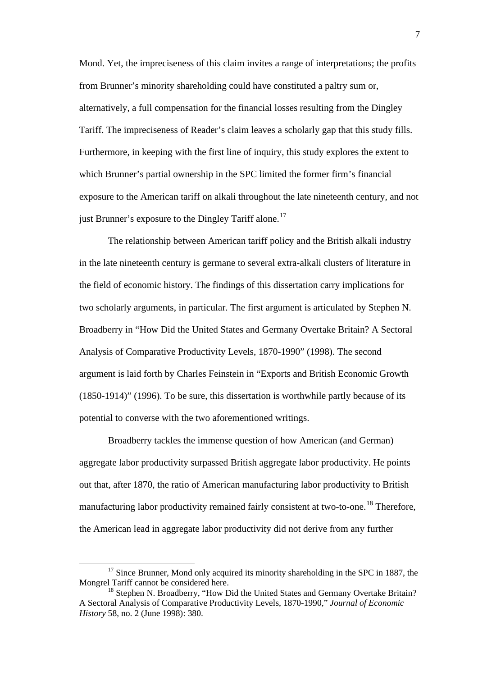Mond. Yet, the impreciseness of this claim invites a range of interpretations; the profits from Brunner's minority shareholding could have constituted a paltry sum or, alternatively, a full compensation for the financial losses resulting from the Dingley Tariff. The impreciseness of Reader's claim leaves a scholarly gap that this study fills. Furthermore, in keeping with the first line of inquiry, this study explores the extent to which Brunner's partial ownership in the SPC limited the former firm's financial exposure to the American tariff on alkali throughout the late nineteenth century, and not just Brunner's exposure to the Dingley Tariff alone.<sup>[17](#page-7-3)</sup>

The relationship between American tariff policy and the British alkali industry in the late nineteenth century is germane to several extra-alkali clusters of literature in the field of economic history. The findings of this dissertation carry implications for two scholarly arguments, in particular. The first argument is articulated by Stephen N. Broadberry in "How Did the United States and Germany Overtake Britain? A Sectoral Analysis of Comparative Productivity Levels, 1870-1990" (1998). The second argument is laid forth by Charles Feinstein in "Exports and British Economic Growth (1850-1914)" (1996). To be sure, this dissertation is worthwhile partly because of its potential to converse with the two aforementioned writings.

Broadberry tackles the immense question of how American (and German) aggregate labor productivity surpassed British aggregate labor productivity. He points out that, after 1870, the ratio of American manufacturing labor productivity to British manufacturing labor productivity remained fairly consistent at two-to-one.<sup>[18](#page-8-0)</sup> Therefore, the American lead in aggregate labor productivity did not derive from any further

<span id="page-8-1"></span><sup>&</sup>lt;sup>17</sup> Since Brunner, Mond only acquired its minority shareholding in the SPC in 1887, the Mongrel Tariff cannot be considered here.

<span id="page-8-0"></span><sup>&</sup>lt;sup>18</sup> Stephen N. Broadberry, "How Did the United States and Germany Overtake Britain? A Sectoral Analysis of Comparative Productivity Levels, 1870-1990," *Journal of Economic History* 58, no. 2 (June 1998): 380.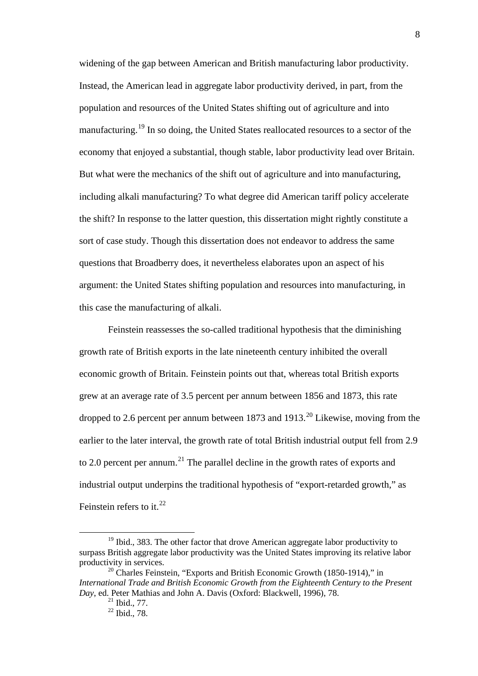widening of the gap between American and British manufacturing labor productivity. Instead, the American lead in aggregate labor productivity derived, in part, from the population and resources of the United States shifting out of agriculture and into manufacturing.<sup>[19](#page-8-1)</sup> In so doing, the United States reallocated resources to a sector of the economy that enjoyed a substantial, though stable, labor productivity lead over Britain. But what were the mechanics of the shift out of agriculture and into manufacturing, including alkali manufacturing? To what degree did American tariff policy accelerate the shift? In response to the latter question, this dissertation might rightly constitute a sort of case study. Though this dissertation does not endeavor to address the same questions that Broadberry does, it nevertheless elaborates upon an aspect of his argument: the United States shifting population and resources into manufacturing, in this case the manufacturing of alkali.

Feinstein reassesses the so-called traditional hypothesis that the diminishing growth rate of British exports in the late nineteenth century inhibited the overall economic growth of Britain. Feinstein points out that, whereas total British exports grew at an average rate of 3.5 percent per annum between 1856 and 1873, this rate dropped to 2.6 percent per annum between 1873 and 1913.<sup>[20](#page-9-0)</sup> Likewise, moving from the earlier to the later interval, the growth rate of total British industrial output fell from 2.9 to 2.0 percent per annum.<sup>[21](#page-9-1)</sup> The parallel decline in the growth rates of exports and industrial output underpins the traditional hypothesis of "export-retarded growth," as Feinstein refers to it.  $22$ 

 $19$  Ibid., 383. The other factor that drove American aggregate labor productivity to surpass British aggregate labor productivity was the United States improving its relative labor productivity in services.

<span id="page-9-3"></span><span id="page-9-2"></span><span id="page-9-1"></span><span id="page-9-0"></span> $20$  Charles Feinstein, "Exports and British Economic Growth (1850-1914)," in *International Trade and British Economic Growth from the Eighteenth Century to the Present Day*, ed. Peter Mathias and John A. Davis (Oxford: Blackwell, 1996), 78.

 $^{21}$  Ibid., 77.

<sup>22</sup> Ibid., 78.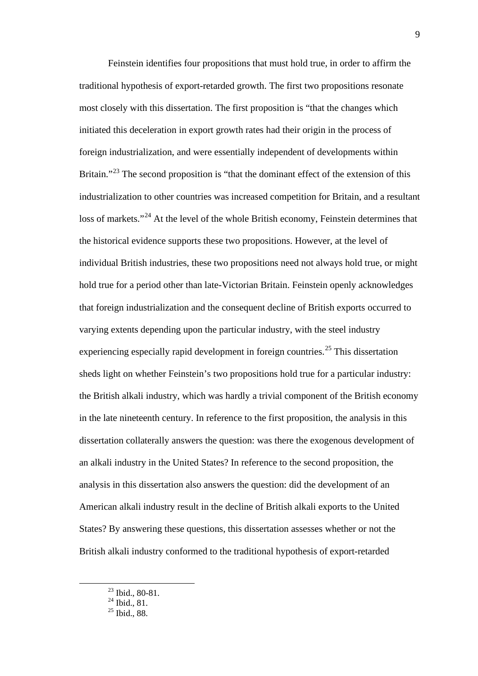Feinstein identifies four propositions that must hold true, in order to affirm the traditional hypothesis of export-retarded growth. The first two propositions resonate most closely with this dissertation. The first proposition is "that the changes which initiated this deceleration in export growth rates had their origin in the process of foreign industrialization, and were essentially independent of developments within Britain."<sup>[23](#page-9-3)</sup> The second proposition is "that the dominant effect of the extension of this industrialization to other countries was increased competition for Britain, and a resultant loss of markets."<sup>[24](#page-10-0)</sup> At the level of the whole British economy, Feinstein determines that the historical evidence supports these two propositions. However, at the level of individual British industries, these two propositions need not always hold true, or might hold true for a period other than late-Victorian Britain. Feinstein openly acknowledges that foreign industrialization and the consequent decline of British exports occurred to varying extents depending upon the particular industry, with the steel industry experiencing especially rapid development in foreign countries.<sup>[25](#page-10-1)</sup> This dissertation sheds light on whether Feinstein's two propositions hold true for a particular industry: the British alkali industry, which was hardly a trivial component of the British economy in the late nineteenth century. In reference to the first proposition, the analysis in this dissertation collaterally answers the question: was there the exogenous development of an alkali industry in the United States? In reference to the second proposition, the analysis in this dissertation also answers the question: did the development of an American alkali industry result in the decline of British alkali exports to the United States? By answering these questions, this dissertation assesses whether or not the British alkali industry conformed to the traditional hypothesis of export-retarded

<span id="page-10-1"></span><span id="page-10-0"></span> $\frac{23 \text{ Ibid., } 80-81.}{23 \text{ Ibid., } 80-81.}$ 

 $^{24}$  Ibid., 81.

 $25$  Ibid., 88.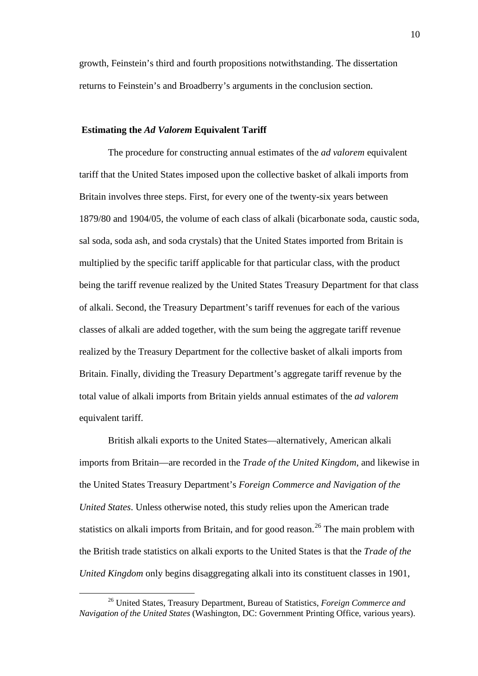growth, Feinstein's third and fourth propositions notwithstanding. The dissertation returns to Feinstein's and Broadberry's arguments in the conclusion section.

#### **Estimating the** *Ad Valorem* **Equivalent Tariff**

The procedure for constructing annual estimates of the *ad valorem* equivalent tariff that the United States imposed upon the collective basket of alkali imports from Britain involves three steps. First, for every one of the twenty-six years between 1879/80 and 1904/05, the volume of each class of alkali (bicarbonate soda, caustic soda, sal soda, soda ash, and soda crystals) that the United States imported from Britain is multiplied by the specific tariff applicable for that particular class, with the product being the tariff revenue realized by the United States Treasury Department for that class of alkali. Second, the Treasury Department's tariff revenues for each of the various classes of alkali are added together, with the sum being the aggregate tariff revenue realized by the Treasury Department for the collective basket of alkali imports from Britain. Finally, dividing the Treasury Department's aggregate tariff revenue by the total value of alkali imports from Britain yields annual estimates of the *ad valorem* equivalent tariff.

British alkali exports to the United States—alternatively, American alkali imports from Britain—are recorded in the *Trade of the United Kingdom*, and likewise in the United States Treasury Department's *Foreign Commerce and Navigation of the United States*. Unless otherwise noted, this study relies upon the American trade statistics on alkali imports from Britain, and for good reason.<sup>[26](#page-10-0)</sup> The main problem with the British trade statistics on alkali exports to the United States is that the *Trade of the United Kingdom* only begins disaggregating alkali into its constituent classes in 1901,

<span id="page-11-0"></span> <sup>26</sup> United States, Treasury Department, Bureau of Statistics, *Foreign Commerce and Navigation of the United States* (Washington, DC: Government Printing Office, various years).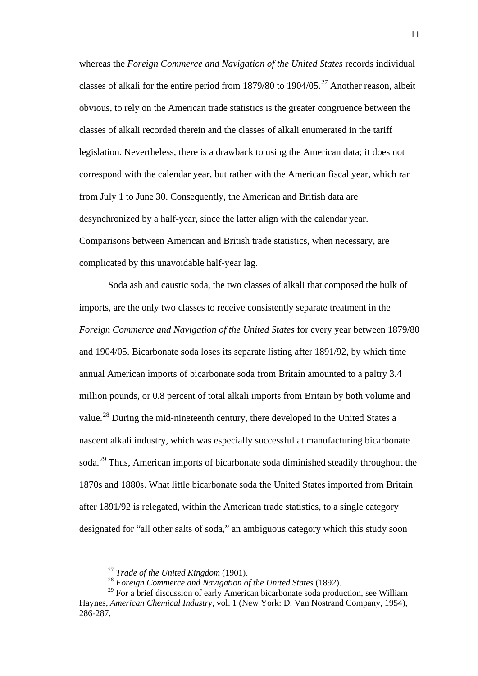whereas the *Foreign Commerce and Navigation of the United States* records individual classes of alkali for the entire period from  $1879/80$  to  $1904/05$ .<sup>[27](#page-11-0)</sup> Another reason, albeit obvious, to rely on the American trade statistics is the greater congruence between the classes of alkali recorded therein and the classes of alkali enumerated in the tariff legislation. Nevertheless, there is a drawback to using the American data; it does not correspond with the calendar year, but rather with the American fiscal year, which ran from July 1 to June 30. Consequently, the American and British data are desynchronized by a half-year, since the latter align with the calendar year. Comparisons between American and British trade statistics, when necessary, are complicated by this unavoidable half-year lag.

Soda ash and caustic soda, the two classes of alkali that composed the bulk of imports, are the only two classes to receive consistently separate treatment in the *Foreign Commerce and Navigation of the United States* for every year between 1879/80 and 1904/05. Bicarbonate soda loses its separate listing after 1891/92, by which time annual American imports of bicarbonate soda from Britain amounted to a paltry 3.4 million pounds, or 0.8 percent of total alkali imports from Britain by both volume and value.<sup>[28](#page-12-0)</sup> During the mid-nineteenth century, there developed in the United States a nascent alkali industry, which was especially successful at manufacturing bicarbonate soda.<sup>[29](#page-12-1)</sup> Thus, American imports of bicarbonate soda diminished steadily throughout the 1870s and 1880s. What little bicarbonate soda the United States imported from Britain after 1891/92 is relegated, within the American trade statistics, to a single category designated for "all other salts of soda," an ambiguous category which this study soon

 <sup>27</sup> *Trade of the United Kingdom* (1901).

<sup>28</sup> *Foreign Commerce and Navigation of the United States* (1892).

<span id="page-12-1"></span><span id="page-12-0"></span><sup>&</sup>lt;sup>29</sup> For a brief discussion of early American bicarbonate soda production, see William Haynes, *American Chemical Industry*, vol. 1 (New York: D. Van Nostrand Company, 1954), 286-287.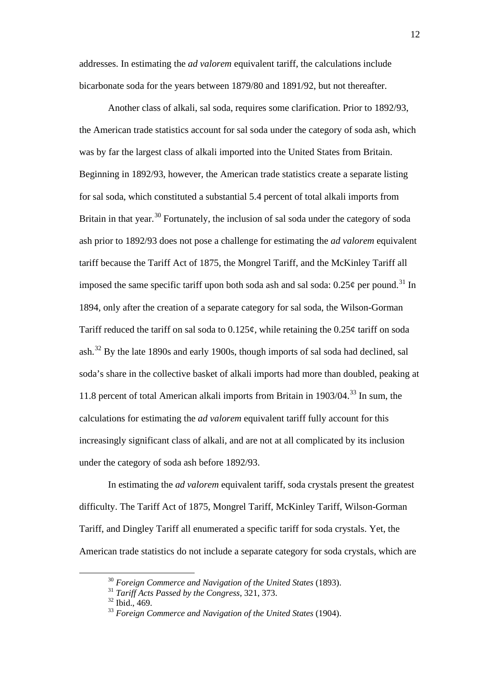addresses. In estimating the *ad valorem* equivalent tariff, the calculations include bicarbonate soda for the years between 1879/80 and 1891/92, but not thereafter.

Another class of alkali, sal soda, requires some clarification. Prior to 1892/93, the American trade statistics account for sal soda under the category of soda ash, which was by far the largest class of alkali imported into the United States from Britain. Beginning in 1892/93, however, the American trade statistics create a separate listing for sal soda, which constituted a substantial 5.4 percent of total alkali imports from Britain in that year.<sup>[30](#page-12-0)</sup> Fortunately, the inclusion of sal soda under the category of soda ash prior to 1892/93 does not pose a challenge for estimating the *ad valorem* equivalent tariff because the Tariff Act of 1875, the Mongrel Tariff, and the McKinley Tariff all imposed the same specific tariff upon both soda ash and sal soda:  $0.25\phi$  per pound.<sup>[31](#page-13-0)</sup> In 1894, only after the creation of a separate category for sal soda, the Wilson-Gorman Tariff reduced the tariff on sal soda to  $0.125\phi$ , while retaining the  $0.25\phi$  tariff on soda ash.<sup>[32](#page-13-1)</sup> By the late 1890s and early 1900s, though imports of sal soda had declined, sal soda's share in the collective basket of alkali imports had more than doubled, peaking at 11.8 percent of total American alkali imports from Britain in 1903/04.<sup>[33](#page-13-2)</sup> In sum, the calculations for estimating the *ad valorem* equivalent tariff fully account for this increasingly significant class of alkali, and are not at all complicated by its inclusion under the category of soda ash before 1892/93.

<span id="page-13-3"></span>In estimating the *ad valorem* equivalent tariff, soda crystals present the greatest difficulty. The Tariff Act of 1875, Mongrel Tariff, McKinley Tariff, Wilson-Gorman Tariff, and Dingley Tariff all enumerated a specific tariff for soda crystals. Yet, the American trade statistics do not include a separate category for soda crystals, which are

 <sup>30</sup> *Foreign Commerce and Navigation of the United States* (1893).

<span id="page-13-0"></span><sup>31</sup> *Tariff Acts Passed by the Congress*, 321, 373.

<span id="page-13-2"></span><span id="page-13-1"></span><sup>32</sup> Ibid., 469.

<sup>33</sup> *Foreign Commerce and Navigation of the United States* (1904).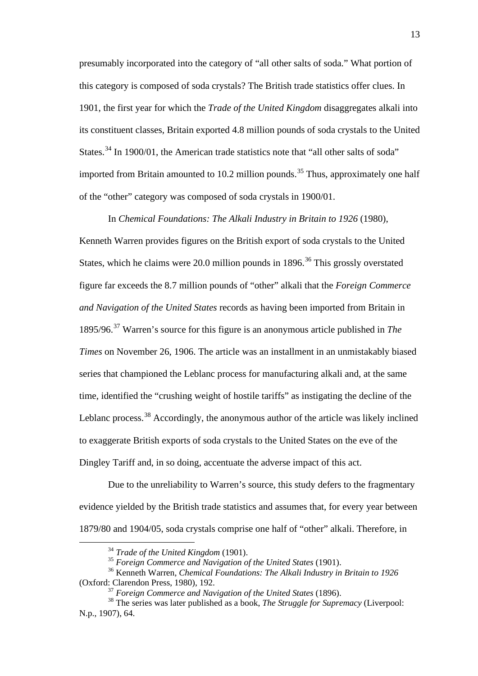presumably incorporated into the category of "all other salts of soda." What portion of this category is composed of soda crystals? The British trade statistics offer clues. In 1901, the first year for which the *Trade of the United Kingdom* disaggregates alkali into its constituent classes, Britain exported 4.8 million pounds of soda crystals to the United States.<sup>[34](#page-13-3)</sup> In 1900/01, the American trade statistics note that "all other salts of soda" imported from Britain amounted to 10.2 million pounds.<sup>[35](#page-14-0)</sup> Thus, approximately one half of the "other" category was composed of soda crystals in 1900/01.

In *Chemical Foundations: The Alkali Industry in Britain to 1926* (1980), Kenneth Warren provides figures on the British export of soda crystals to the United States, which he claims were 20.0 million pounds in 1896.<sup>[36](#page-14-1)</sup> This grossly overstated figure far exceeds the 8.7 million pounds of "other" alkali that the *Foreign Commerce and Navigation of the United States* records as having been imported from Britain in 1895/96.[37](#page-14-2) Warren's source for this figure is an anonymous article published in *The Times* on November 26, 1906. The article was an installment in an unmistakably biased series that championed the Leblanc process for manufacturing alkali and, at the same time, identified the "crushing weight of hostile tariffs" as instigating the decline of the Leblanc process.<sup>[38](#page-14-3)</sup> Accordingly, the anonymous author of the article was likely inclined to exaggerate British exports of soda crystals to the United States on the eve of the Dingley Tariff and, in so doing, accentuate the adverse impact of this act.

Due to the unreliability to Warren's source, this study defers to the fragmentary evidence yielded by the British trade statistics and assumes that, for every year between 1879/80 and 1904/05, soda crystals comprise one half of "other" alkali. Therefore, in

 <sup>34</sup> *Trade of the United Kingdom* (1901).

<sup>35</sup> *Foreign Commerce and Navigation of the United States* (1901).

<span id="page-14-1"></span><span id="page-14-0"></span><sup>36</sup> Kenneth Warren, *Chemical Foundations: The Alkali Industry in Britain to 1926* (Oxford: Clarendon Press, 1980), 192.

<sup>37</sup> *Foreign Commerce and Navigation of the United States* (1896).

<span id="page-14-3"></span><span id="page-14-2"></span><sup>38</sup> The series was later published as a book, *The Struggle for Supremacy* (Liverpool: N.p., 1907), 64.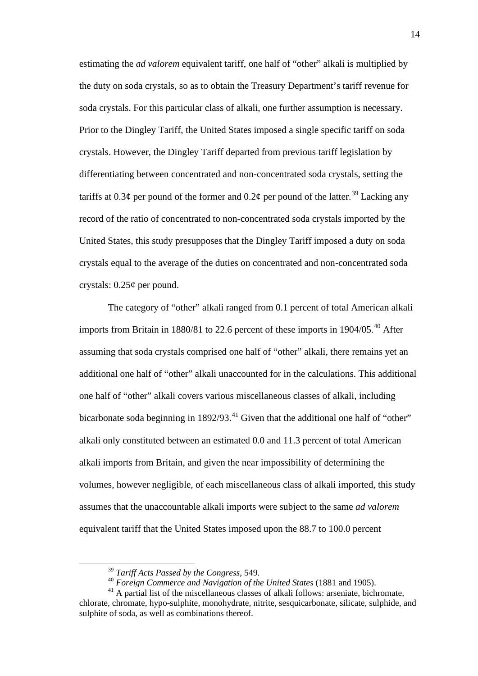estimating the *ad valorem* equivalent tariff, one half of "other" alkali is multiplied by the duty on soda crystals, so as to obtain the Treasury Department's tariff revenue for soda crystals. For this particular class of alkali, one further assumption is necessary. Prior to the Dingley Tariff, the United States imposed a single specific tariff on soda crystals. However, the Dingley Tariff departed from previous tariff legislation by differentiating between concentrated and non-concentrated soda crystals, setting the tariffs at 0.3¢ per pound of the former and 0.2¢ per pound of the latter.<sup>[39](#page-14-1)</sup> Lacking any record of the ratio of concentrated to non-concentrated soda crystals imported by the United States, this study presupposes that the Dingley Tariff imposed a duty on soda crystals equal to the average of the duties on concentrated and non-concentrated soda crystals: 0.25¢ per pound.

The category of "other" alkali ranged from 0.1 percent of total American alkali imports from Britain in 1880/81 to 22.6 percent of these imports in  $1904/05$ .<sup>[40](#page-15-0)</sup> After assuming that soda crystals comprised one half of "other" alkali, there remains yet an additional one half of "other" alkali unaccounted for in the calculations. This additional one half of "other" alkali covers various miscellaneous classes of alkali, including bicarbonate soda beginning in 1892/93.<sup>[41](#page-15-1)</sup> Given that the additional one half of "other" alkali only constituted between an estimated 0.0 and 11.3 percent of total American alkali imports from Britain, and given the near impossibility of determining the volumes, however negligible, of each miscellaneous class of alkali imported, this study assumes that the unaccountable alkali imports were subject to the same *ad valorem*  equivalent tariff that the United States imposed upon the 88.7 to 100.0 percent

 <sup>39</sup> *Tariff Acts Passed by the Congress*, 549.

<sup>40</sup> *Foreign Commerce and Navigation of the United States* (1881 and 1905).

<span id="page-15-2"></span><span id="page-15-1"></span><span id="page-15-0"></span><sup>&</sup>lt;sup>41</sup> A partial list of the miscellaneous classes of alkali follows: arseniate, bichromate, chlorate, chromate, hypo-sulphite, monohydrate, nitrite, sesquicarbonate, silicate, sulphide, and sulphite of soda, as well as combinations thereof.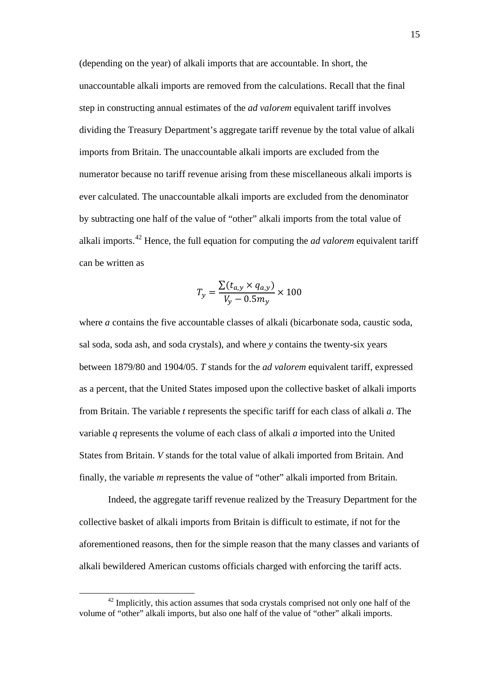(depending on the year) of alkali imports that are accountable. In short, the unaccountable alkali imports are removed from the calculations. Recall that the final step in constructing annual estimates of the *ad valorem* equivalent tariff involves dividing the Treasury Department's aggregate tariff revenue by the total value of alkali imports from Britain. The unaccountable alkali imports are excluded from the numerator because no tariff revenue arising from these miscellaneous alkali imports is ever calculated. The unaccountable alkali imports are excluded from the denominator by subtracting one half of the value of "other" alkali imports from the total value of alkali imports. [42](#page-15-2) Hence, the full equation for computing the *ad valorem* equivalent tariff can be written as

$$
T_{y} = \frac{\sum (t_{a,y} \times q_{a,y})}{V_{y} - 0.5 m_{y}} \times 100
$$

where *a* contains the five accountable classes of alkali (bicarbonate soda, caustic soda, sal soda, soda ash, and soda crystals), and where *y* contains the twenty-six years between 1879/80 and 1904/05. *T* stands for the *ad valorem* equivalent tariff, expressed as a percent, that the United States imposed upon the collective basket of alkali imports from Britain. The variable *t* represents the specific tariff for each class of alkali *a*. The variable *q* represents the volume of each class of alkali *a* imported into the United States from Britain. *V* stands for the total value of alkali imported from Britain. And finally, the variable *m* represents the value of "other" alkali imported from Britain.

<span id="page-16-0"></span>Indeed, the aggregate tariff revenue realized by the Treasury Department for the collective basket of alkali imports from Britain is difficult to estimate, if not for the aforementioned reasons, then for the simple reason that the many classes and variants of alkali bewildered American customs officials charged with enforcing the tariff acts.

 $42$  Implicitly, this action assumes that soda crystals comprised not only one half of the volume of "other" alkali imports, but also one half of the value of "other" alkali imports.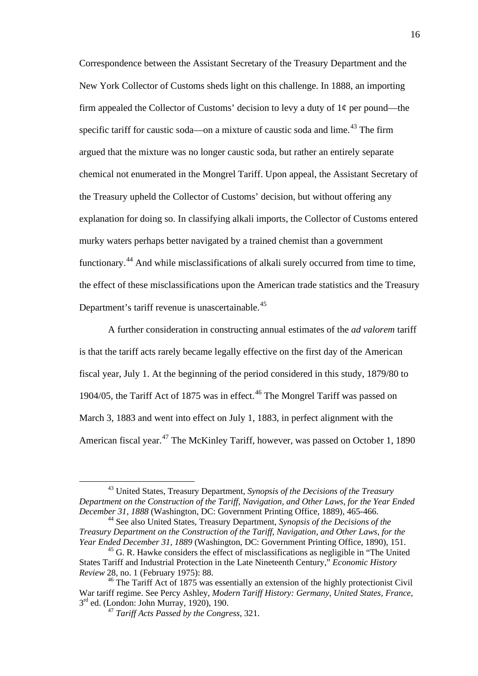Correspondence between the Assistant Secretary of the Treasury Department and the New York Collector of Customs sheds light on this challenge. In 1888, an importing firm appealed the Collector of Customs' decision to levy a duty of  $1\phi$  per pound—the specific tariff for caustic soda—on a mixture of caustic soda and lime.<sup>[43](#page-16-0)</sup> The firm argued that the mixture was no longer caustic soda, but rather an entirely separate chemical not enumerated in the Mongrel Tariff. Upon appeal, the Assistant Secretary of the Treasury upheld the Collector of Customs' decision, but without offering any explanation for doing so. In classifying alkali imports, the Collector of Customs entered murky waters perhaps better navigated by a trained chemist than a government functionary.<sup>[44](#page-17-0)</sup> And while misclassifications of alkali surely occurred from time to time, the effect of these misclassifications upon the American trade statistics and the Treasury Department's tariff revenue is unascertainable.<sup>[45](#page-17-1)</sup>

A further consideration in constructing annual estimates of the *ad valorem* tariff is that the tariff acts rarely became legally effective on the first day of the American fiscal year, July 1. At the beginning of the period considered in this study, 1879/80 to 1904/05, the Tariff Act of 1875 was in effect.<sup>[46](#page-17-2)</sup> The Mongrel Tariff was passed on March 3, 1883 and went into effect on July 1, 1883, in perfect alignment with the American fiscal year.<sup>[47](#page-17-3)</sup> The McKinley Tariff, however, was passed on October 1, 1890

 <sup>43</sup> United States, Treasury Department, *Synopsis of the Decisions of the Treasury Department on the Construction of the Tariff, Navigation, and Other Laws, for the Year Ended December 31, 1888* (Washington, DC: Government Printing Office, 1889), 465-466.

<span id="page-17-0"></span><sup>44</sup> See also United States, Treasury Department, *Synopsis of the Decisions of the Treasury Department on the Construction of the Tariff, Navigation, and Other Laws, for the Year Ended December 31, 1889* (Washington, DC: Government Printing Office, 1890), 151.

<span id="page-17-4"></span><span id="page-17-1"></span> $<sup>45</sup>$  G. R. Hawke considers the effect of misclassifications as negligible in "The United"</sup> States Tariff and Industrial Protection in the Late Nineteenth Century," *Economic History Review* 28, no. 1 (February 1975): 88.

<span id="page-17-3"></span><span id="page-17-2"></span> $46$  The Tariff Act of 1875 was essentially an extension of the highly protectionist Civil War tariff regime. See Percy Ashley, *Modern Tariff History: Germany, United States, France*,  $3<sup>rd</sup>$  ed. (London: John Murray, 1920), 190.

<sup>47</sup> *Tariff Acts Passed by the Congress*, 321.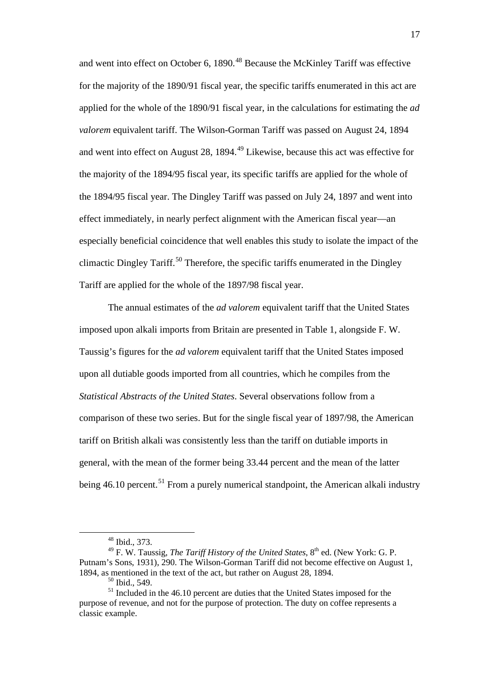and went into effect on October 6, 1890.<sup>[48](#page-17-4)</sup> Because the McKinley Tariff was effective for the majority of the 1890/91 fiscal year, the specific tariffs enumerated in this act are applied for the whole of the 1890/91 fiscal year, in the calculations for estimating the *ad valorem* equivalent tariff. The Wilson-Gorman Tariff was passed on August 24, 1894 and went into effect on August 28, 1894.<sup>[49](#page-18-0)</sup> Likewise, because this act was effective for the majority of the 1894/95 fiscal year, its specific tariffs are applied for the whole of the 1894/95 fiscal year. The Dingley Tariff was passed on July 24, 1897 and went into effect immediately, in nearly perfect alignment with the American fiscal year—an especially beneficial coincidence that well enables this study to isolate the impact of the climactic Dingley Tariff.<sup>[50](#page-18-1)</sup> Therefore, the specific tariffs enumerated in the Dingley Tariff are applied for the whole of the 1897/98 fiscal year.

The annual estimates of the *ad valorem* equivalent tariff that the United States imposed upon alkali imports from Britain are presented in Table 1, alongside F. W. Taussig's figures for the *ad valorem* equivalent tariff that the United States imposed upon all dutiable goods imported from all countries, which he compiles from the *Statistical Abstracts of the United States*. Several observations follow from a comparison of these two series. But for the single fiscal year of 1897/98, the American tariff on British alkali was consistently less than the tariff on dutiable imports in general, with the mean of the former being 33.44 percent and the mean of the latter being  $46.10$  percent.<sup>[51](#page-18-2)</sup> From a purely numerical standpoint, the American alkali industry

 <sup>48</sup> Ibid., 373.

<span id="page-18-0"></span><sup>&</sup>lt;sup>49</sup> F. W. Taussig, *The Tariff History of the United States*, 8<sup>th</sup> ed. (New York: G. P. Putnam's Sons, 1931), 290. The Wilson-Gorman Tariff did not become effective on August 1, 1894, as mentioned in the text of the act, but rather on August 28, 1894.

<sup>50</sup> Ibid., 549.

<span id="page-18-2"></span><span id="page-18-1"></span><sup>&</sup>lt;sup>51</sup> Included in the 46.10 percent are duties that the United States imposed for the purpose of revenue, and not for the purpose of protection. The duty on coffee represents a classic example.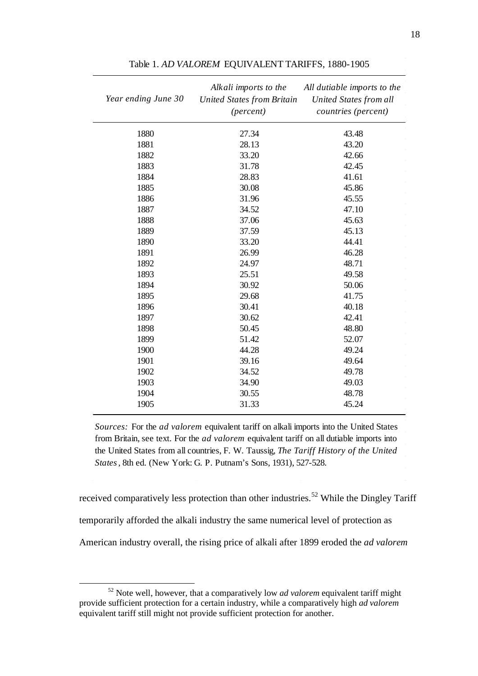| Year ending June 30 | Alkali imports to the<br><b>United States from Britain</b><br>(percent) | All dutiable imports to the<br>United States from all<br>countries (percent) |
|---------------------|-------------------------------------------------------------------------|------------------------------------------------------------------------------|
| 1880                | 27.34                                                                   | 43.48                                                                        |
| 1881                | 28.13                                                                   | 43.20                                                                        |
| 1882                | 33.20                                                                   | 42.66                                                                        |
| 1883                | 31.78                                                                   | 42.45                                                                        |
| 1884                | 28.83                                                                   | 41.61                                                                        |
| 1885                | 30.08                                                                   | 45.86                                                                        |
| 1886                | 31.96                                                                   | 45.55                                                                        |
| 1887                | 34.52                                                                   | 47.10                                                                        |
| 1888                | 37.06                                                                   | 45.63                                                                        |
| 1889                | 37.59                                                                   | 45.13                                                                        |
| 1890                | 33.20                                                                   | 44.41                                                                        |
| 1891                | 26.99                                                                   | 46.28                                                                        |
| 1892                | 24.97                                                                   | 48.71                                                                        |
| 1893                | 25.51                                                                   | 49.58                                                                        |
| 1894                | 30.92                                                                   | 50.06                                                                        |
| 1895                | 29.68                                                                   | 41.75                                                                        |
| 1896                | 30.41                                                                   | 40.18                                                                        |
| 1897                | 30.62                                                                   | 42.41                                                                        |
| 1898                | 50.45                                                                   | 48.80                                                                        |
| 1899                | 51.42                                                                   | 52.07                                                                        |
| 1900                | 44.28                                                                   | 49.24                                                                        |
| 1901                | 39.16                                                                   | 49.64                                                                        |
| 1902                | 34.52                                                                   | 49.78                                                                        |
| 1903                | 34.90                                                                   | 49.03                                                                        |
| 1904                | 30.55                                                                   | 48.78                                                                        |
| 1905                | 31.33                                                                   | 45.24                                                                        |

Table 1. *AD VALOREM* EQUIVALENT TARIFFS, 1880-1905

*Sources:* For the *ad valorem* equivalent tariff on alkali imports into the United States from Britain, see text. For the *ad valorem* equivalent tariff on all dutiable imports into the United States from all countries, F. W. Taussig, *The Tariff History of the United States*, 8th ed. (New York: G. P. Putnam's Sons, 1931), 527-528.

received comparatively less protection than other industries.<sup>[52](#page-18-2)</sup> While the Dingley Tariff temporarily afforded the alkali industry the same numerical level of protection as American industry overall, the rising price of alkali after 1899 eroded the *ad valorem* 

<span id="page-19-0"></span> Note well, however, that a comparatively low *ad valorem* equivalent tariff might provide sufficient protection for a certain industry, while a comparatively high *ad valorem*  equivalent tariff still might not provide sufficient protection for another.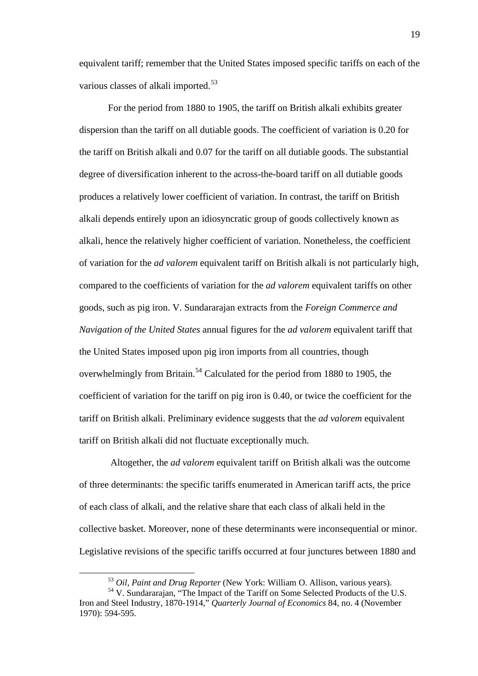equivalent tariff; remember that the United States imposed specific tariffs on each of the various classes of alkali imported.<sup>[53](#page-19-0)</sup>

For the period from 1880 to 1905, the tariff on British alkali exhibits greater dispersion than the tariff on all dutiable goods. The coefficient of variation is 0.20 for the tariff on British alkali and 0.07 for the tariff on all dutiable goods. The substantial degree of diversification inherent to the across-the-board tariff on all dutiable goods produces a relatively lower coefficient of variation. In contrast, the tariff on British alkali depends entirely upon an idiosyncratic group of goods collectively known as alkali, hence the relatively higher coefficient of variation. Nonetheless, the coefficient of variation for the *ad valorem* equivalent tariff on British alkali is not particularly high, compared to the coefficients of variation for the *ad valorem* equivalent tariffs on other goods, such as pig iron. V. Sundararajan extracts from the *Foreign Commerce and Navigation of the United States* annual figures for the *ad valorem* equivalent tariff that the United States imposed upon pig iron imports from all countries, though overwhelmingly from Britain.<sup>[54](#page-20-0)</sup> Calculated for the period from 1880 to 1905, the coefficient of variation for the tariff on pig iron is 0.40, or twice the coefficient for the tariff on British alkali. Preliminary evidence suggests that the *ad valorem* equivalent tariff on British alkali did not fluctuate exceptionally much.

Altogether, the *ad valorem* equivalent tariff on British alkali was the outcome of three determinants: the specific tariffs enumerated in American tariff acts, the price of each class of alkali, and the relative share that each class of alkali held in the collective basket. Moreover, none of these determinants were inconsequential or minor. Legislative revisions of the specific tariffs occurred at four junctures between 1880 and

 <sup>53</sup> *Oil, Paint and Drug Reporter* (New York: William O. Allison, various years).

<span id="page-20-1"></span><span id="page-20-0"></span><sup>54</sup> V. Sundararajan, "The Impact of the Tariff on Some Selected Products of the U.S. Iron and Steel Industry, 1870-1914," *Quarterly Journal of Economics* 84, no. 4 (November 1970): 594-595.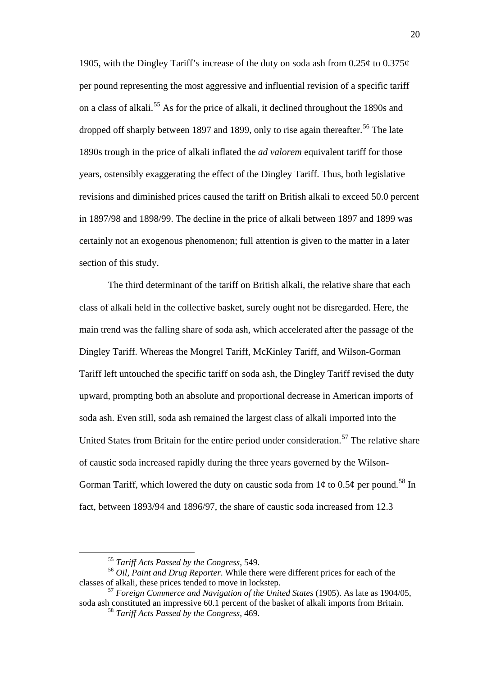1905, with the Dingley Tariff's increase of the duty on soda ash from  $0.25\phi$  to  $0.375\phi$ per pound representing the most aggressive and influential revision of a specific tariff on a class of alkali. [55](#page-20-1) As for the price of alkali, it declined throughout the 1890s and dropped off sharply between 1897 and 1899, only to rise again thereafter.<sup>[56](#page-21-0)</sup> The late 1890s trough in the price of alkali inflated the *ad valorem* equivalent tariff for those years, ostensibly exaggerating the effect of the Dingley Tariff. Thus, both legislative revisions and diminished prices caused the tariff on British alkali to exceed 50.0 percent in 1897/98 and 1898/99. The decline in the price of alkali between 1897 and 1899 was certainly not an exogenous phenomenon; full attention is given to the matter in a later section of this study.

The third determinant of the tariff on British alkali, the relative share that each class of alkali held in the collective basket, surely ought not be disregarded. Here, the main trend was the falling share of soda ash, which accelerated after the passage of the Dingley Tariff. Whereas the Mongrel Tariff, McKinley Tariff, and Wilson-Gorman Tariff left untouched the specific tariff on soda ash, the Dingley Tariff revised the duty upward, prompting both an absolute and proportional decrease in American imports of soda ash. Even still, soda ash remained the largest class of alkali imported into the United States from Britain for the entire period under consideration.<sup>[57](#page-21-1)</sup> The relative share of caustic soda increased rapidly during the three years governed by the Wilson-Gorman Tariff, which lowered the duty on caustic soda from  $1\phi$  to  $0.5\phi$  per pound.<sup>[58](#page-21-2)</sup> In fact, between 1893/94 and 1896/97, the share of caustic soda increased from 12.3

 <sup>55</sup> *Tariff Acts Passed by the Congress*, 549.

<span id="page-21-3"></span><span id="page-21-0"></span><sup>56</sup> *Oil, Paint and Drug Reporter*. While there were different prices for each of the classes of alkali, these prices tended to move in lockstep.

<span id="page-21-2"></span><span id="page-21-1"></span><sup>57</sup> *Foreign Commerce and Navigation of the United States* (1905). As late as 1904/05, soda ash constituted an impressive 60.1 percent of the basket of alkali imports from Britain.

<sup>58</sup> *Tariff Acts Passed by the Congress*, 469.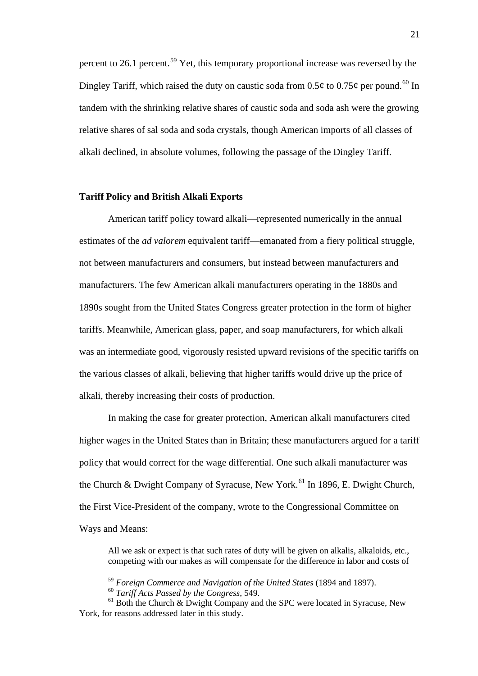percent to 26.1 percent.[59](#page-21-3) Yet, this temporary proportional increase was reversed by the Dingley Tariff, which raised the duty on caustic soda from 0.5¢ to 0.75¢ per pound.<sup>[60](#page-22-0)</sup> In tandem with the shrinking relative shares of caustic soda and soda ash were the growing relative shares of sal soda and soda crystals, though American imports of all classes of alkali declined, in absolute volumes, following the passage of the Dingley Tariff.

#### **Tariff Policy and British Alkali Exports**

American tariff policy toward alkali—represented numerically in the annual estimates of the *ad valorem* equivalent tariff—emanated from a fiery political struggle, not between manufacturers and consumers, but instead between manufacturers and manufacturers. The few American alkali manufacturers operating in the 1880s and 1890s sought from the United States Congress greater protection in the form of higher tariffs. Meanwhile, American glass, paper, and soap manufacturers, for which alkali was an intermediate good, vigorously resisted upward revisions of the specific tariffs on the various classes of alkali, believing that higher tariffs would drive up the price of alkali, thereby increasing their costs of production.

In making the case for greater protection, American alkali manufacturers cited higher wages in the United States than in Britain; these manufacturers argued for a tariff policy that would correct for the wage differential. One such alkali manufacturer was the Church & Dwight Company of Syracuse, New York.<sup>[61](#page-22-1)</sup> In 1896, E. Dwight Church, the First Vice-President of the company, wrote to the Congressional Committee on Ways and Means:

<span id="page-22-2"></span>All we ask or expect is that such rates of duty will be given on alkalis, alkaloids, etc., competing with our makes as will compensate for the difference in labor and costs of

 <sup>59</sup> *Foreign Commerce and Navigation of the United States* (1894 and 1897).

<sup>60</sup> *Tariff Acts Passed by the Congress*, 549.

<span id="page-22-1"></span><span id="page-22-0"></span> $61$  Both the Church & Dwight Company and the SPC were located in Syracuse, New York, for reasons addressed later in this study.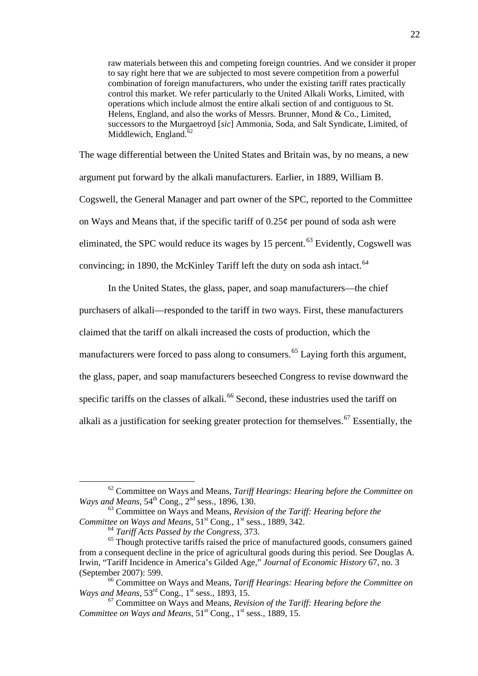raw materials between this and competing foreign countries. And we consider it proper to say right here that we are subjected to most severe competition from a powerful combination of foreign manufacturers, who under the existing tariff rates practically control this market. We refer particularly to the United Alkali Works, Limited, with operations which include almost the entire alkali section of and contiguous to St. Helens, England, and also the works of Messrs. Brunner, Mond & Co., Limited, successors to the Murgaetroyd [*sic*] Ammonia, Soda, and Salt Syndicate, Limited, of Middlewich, England. $62$ 

The wage differential between the United States and Britain was, by no means, a new argument put forward by the alkali manufacturers. Earlier, in 1889, William B. Cogswell, the General Manager and part owner of the SPC, reported to the Committee on Ways and Means that, if the specific tariff of  $0.25\phi$  per pound of soda ash were eliminated, the SPC would reduce its wages by  $15$  percent.<sup>[63](#page-23-0)</sup> Evidently, Cogswell was convincing; in 1890, the McKinley Tariff left the duty on soda ash intact.<sup>[64](#page-23-1)</sup>

In the United States, the glass, paper, and soap manufacturers—the chief

purchasers of alkali—responded to the tariff in two ways. First, these manufacturers

claimed that the tariff on alkali increased the costs of production, which the

manufacturers were forced to pass along to consumers.<sup>[65](#page-23-2)</sup> Laying forth this argument,

the glass, paper, and soap manufacturers beseeched Congress to revise downward the

specific tariffs on the classes of alkali.<sup>[66](#page-23-3)</sup> Second, these industries used the tariff on

alkali as a justification for seeking greater protection for themselves.<sup>[67](#page-23-3)</sup> Essentially, the

 <sup>62</sup> Committee on Ways and Means, *Tariff Hearings: Hearing before the Committee on Ways and Means*, 54<sup>th</sup> Cong., 2<sup>nd</sup> sess., 1896, 130.

<sup>63</sup> Committee on Ways and Means, *Revision of the Tariff: Hearing before the Committee on Ways and Means*,  $51<sup>st</sup>$  Cong., 1<sup>st</sup> sess., 1889, 342.

<sup>64</sup> *Tariff Acts Passed by the Congress*, 373.

<span id="page-23-1"></span><span id="page-23-0"></span><sup>&</sup>lt;sup>65</sup> Though protective tariffs raised the price of manufactured goods, consumers gained from a consequent decline in the price of agricultural goods during this period. See Douglas A. Irwin, "Tariff Incidence in America's Gilded Age," *Journal of Economic History* 67, no. 3 (September 2007): 599.

<span id="page-23-2"></span><sup>66</sup> Committee on Ways and Means, *Tariff Hearings: Hearing before the Committee on Ways and Means*, 53<sup>rd</sup> Cong., 1<sup>st</sup> sess., 1893, 15.

<span id="page-23-3"></span><sup>67</sup> Committee on Ways and Means, *Revision of the Tariff: Hearing before the Committee on Ways and Means*,  $51<sup>st</sup>$  Cong.,  $1<sup>st</sup>$  sess., 1889, 15.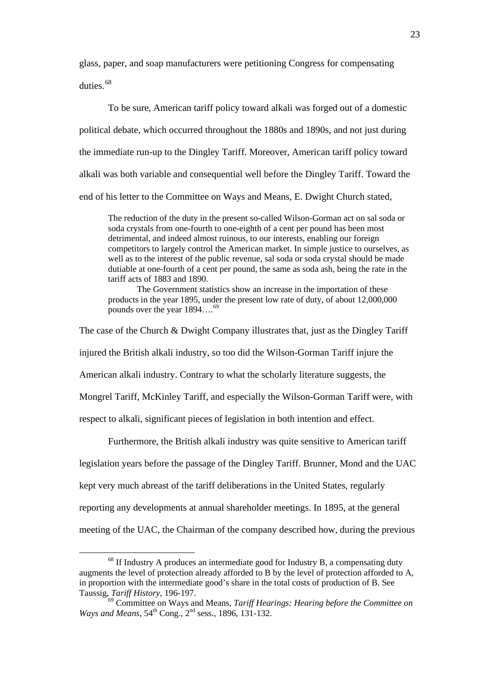glass, paper, and soap manufacturers were petitioning Congress for compensating duties.<sup>[68](#page-23-2)</sup>

To be sure, American tariff policy toward alkali was forged out of a domestic political debate, which occurred throughout the 1880s and 1890s, and not just during the immediate run-up to the Dingley Tariff. Moreover, American tariff policy toward alkali was both variable and consequential well before the Dingley Tariff. Toward the end of his letter to the Committee on Ways and Means, E. Dwight Church stated,

The reduction of the duty in the present so-called Wilson-Gorman act on sal soda or soda crystals from one-fourth to one-eighth of a cent per pound has been most detrimental, and indeed almost ruinous, to our interests, enabling our foreign competitors to largely control the American market. In simple justice to ourselves, as well as to the interest of the public revenue, sal soda or soda crystal should be made dutiable at one-fourth of a cent per pound, the same as soda ash, being the rate in the tariff acts of 1883 and 1890.

The Government statistics show an increase in the importation of these products in the year 1895, under the present low rate of duty, of about 12,000,000 pounds over the year  $1894...^{69}$  $1894...^{69}$  $1894...^{69}$ 

The case of the Church & Dwight Company illustrates that, just as the Dingley Tariff injured the British alkali industry, so too did the Wilson-Gorman Tariff injure the American alkali industry. Contrary to what the scholarly literature suggests, the Mongrel Tariff, McKinley Tariff, and especially the Wilson-Gorman Tariff were, with respect to alkali, significant pieces of legislation in both intention and effect.

Furthermore, the British alkali industry was quite sensitive to American tariff legislation years before the passage of the Dingley Tariff. Brunner, Mond and the UAC kept very much abreast of the tariff deliberations in the United States, regularly reporting any developments at annual shareholder meetings. In 1895, at the general

<span id="page-24-1"></span>meeting of the UAC, the Chairman of the company described how, during the previous

<sup>&</sup>lt;sup>68</sup> If Industry A produces an intermediate good for Industry B, a compensating duty augments the level of protection already afforded to B by the level of protection afforded to A, in proportion with the intermediate good's share in the total costs of production of B. See Taussig, *Tariff History*, 196-197.

<span id="page-24-0"></span><sup>69</sup> Committee on Ways and Means, *Tariff Hearings: Hearing before the Committee on Ways and Means*, 54<sup>th</sup> Cong., 2<sup>nd</sup> sess., 1896, 131-132.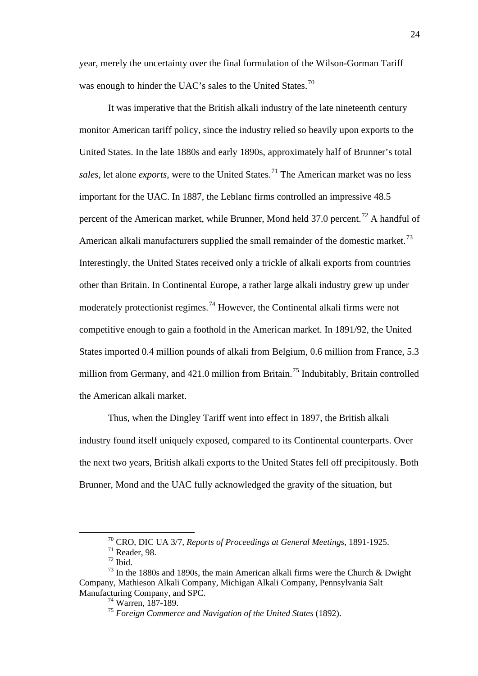year, merely the uncertainty over the final formulation of the Wilson-Gorman Tariff was enough to hinder the UAC's sales to the United States.<sup>[70](#page-24-1)</sup>

It was imperative that the British alkali industry of the late nineteenth century monitor American tariff policy, since the industry relied so heavily upon exports to the United States. In the late 1880s and early 1890s, approximately half of Brunner's total *sales*, let alone *exports*, were to the United States.<sup>[71](#page-25-0)</sup> The American market was no less important for the UAC. In 1887, the Leblanc firms controlled an impressive 48.5 percent of the American market, while Brunner, Mond held 37.0 percent.<sup>[72](#page-25-1)</sup> A handful of American alkali manufacturers supplied the small remainder of the domestic market.<sup>[73](#page-25-2)</sup> Interestingly, the United States received only a trickle of alkali exports from countries other than Britain. In Continental Europe, a rather large alkali industry grew up under moderately protectionist regimes.<sup>[74](#page-25-3)</sup> However, the Continental alkali firms were not competitive enough to gain a foothold in the American market. In 1891/92, the United States imported 0.4 million pounds of alkali from Belgium, 0.6 million from France, 5.3 million from Germany, and  $421.0$  million from Britain.<sup>[75](#page-25-4)</sup> Indubitably, Britain controlled the American alkali market.

Thus, when the Dingley Tariff went into effect in 1897, the British alkali industry found itself uniquely exposed, compared to its Continental counterparts. Over the next two years, British alkali exports to the United States fell off precipitously. Both Brunner, Mond and the UAC fully acknowledged the gravity of the situation, but

 <sup>70</sup> CRO, DIC UA 3/7, *Reports of Proceedings at General Meetings*, 1891-1925.

 $71$  Reader, 98.

 $72$  Ibid.

<span id="page-25-4"></span><span id="page-25-3"></span><span id="page-25-2"></span><span id="page-25-1"></span><span id="page-25-0"></span> $73$  In the 1880s and 1890s, the main American alkali firms were the Church & Dwight Company, Mathieson Alkali Company, Michigan Alkali Company, Pennsylvania Salt Manufacturing Company, and SPC.

<sup>74</sup> Warren, 187-189.

<sup>75</sup> *Foreign Commerce and Navigation of the United States* (1892).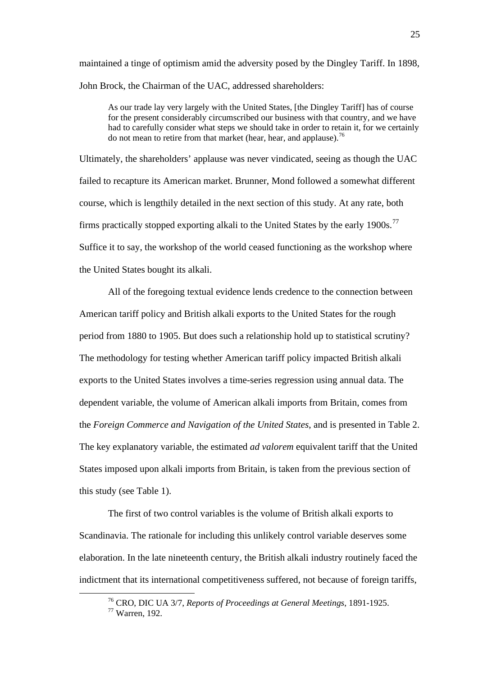maintained a tinge of optimism amid the adversity posed by the Dingley Tariff. In 1898, John Brock, the Chairman of the UAC, addressed shareholders:

As our trade lay very largely with the United States, [the Dingley Tariff] has of course for the present considerably circumscribed our business with that country, and we have had to carefully consider what steps we should take in order to retain it, for we certainly do not mean to retire from that market (hear, hear, and applause).<sup>[76](#page-25-3)</sup>

Ultimately, the shareholders' applause was never vindicated, seeing as though the UAC failed to recapture its American market. Brunner, Mond followed a somewhat different course, which is lengthily detailed in the next section of this study. At any rate, both firms practically stopped exporting alkali to the United States by the early  $1900s$ .<sup>[77](#page-26-0)</sup> Suffice it to say, the workshop of the world ceased functioning as the workshop where the United States bought its alkali.

All of the foregoing textual evidence lends credence to the connection between American tariff policy and British alkali exports to the United States for the rough period from 1880 to 1905. But does such a relationship hold up to statistical scrutiny? The methodology for testing whether American tariff policy impacted British alkali exports to the United States involves a time-series regression using annual data. The dependent variable, the volume of American alkali imports from Britain, comes from the *Foreign Commerce and Navigation of the United States*, and is presented in Table 2. The key explanatory variable, the estimated *ad valorem* equivalent tariff that the United States imposed upon alkali imports from Britain, is taken from the previous section of this study (see Table 1).

The first of two control variables is the volume of British alkali exports to Scandinavia. The rationale for including this unlikely control variable deserves some elaboration. In the late nineteenth century, the British alkali industry routinely faced the indictment that its international competitiveness suffered, not because of foreign tariffs,

<span id="page-26-1"></span> <sup>76</sup> CRO, DIC UA 3/7, *Reports of Proceedings at General Meetings*, 1891-1925.

<span id="page-26-0"></span><sup>77</sup> Warren, 192.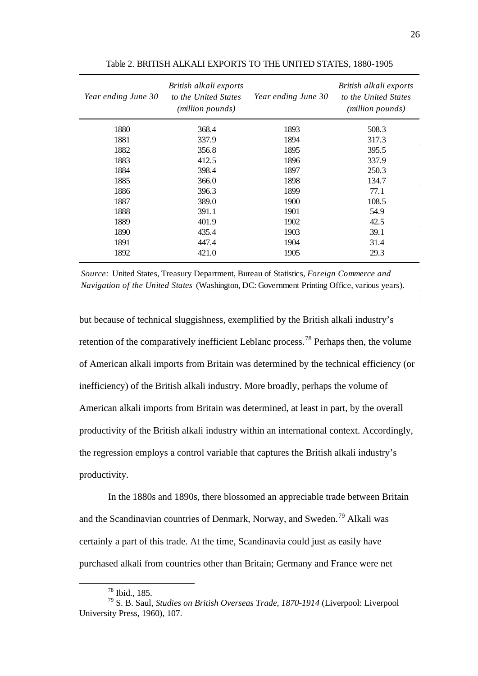| Year ending June 30 | British alkali exports<br>to the United States<br>(million pounds) | Year ending June 30 | British alkali exports<br>to the United States<br>(million pounds) |
|---------------------|--------------------------------------------------------------------|---------------------|--------------------------------------------------------------------|
| 1880                | 368.4                                                              | 1893                | 508.3                                                              |
| 1881                | 337.9                                                              | 1894                | 317.3                                                              |
| 1882                | 356.8                                                              | 1895                | 395.5                                                              |
| 1883                | 412.5                                                              | 1896                | 337.9                                                              |
| 1884                | 398.4                                                              | 1897                | 250.3                                                              |
| 1885                | 366.0                                                              | 1898                | 134.7                                                              |
| 1886                | 396.3                                                              | 1899                | 77.1                                                               |
| 1887                | 389.0                                                              | 1900                | 108.5                                                              |
| 1888                | 391.1                                                              | 1901                | 54.9                                                               |
| 1889                | 401.9                                                              | 1902                | 42.5                                                               |
| 1890                | 435.4                                                              | 1903                | 39.1                                                               |
| 1891                | 447.4                                                              | 1904                | 31.4                                                               |
| 1892                | 421.0                                                              | 1905                | 29.3                                                               |

Table 2. BRITISH ALKALI EXPORTS TO THE UNITED STATES, 1880-1905

*Source:* United States, Treasury Department, Bureau of Statistics, *Foreign Commerce and Navigation of the United States* (Washington, DC: Government Printing Office, various years).

but because of technical sluggishness, exemplified by the British alkali industry's retention of the comparatively inefficient Leblanc process.<sup>[78](#page-26-1)</sup> Perhaps then, the volume of American alkali imports from Britain was determined by the technical efficiency (or inefficiency) of the British alkali industry. More broadly, perhaps the volume of American alkali imports from Britain was determined, at least in part, by the overall productivity of the British alkali industry within an international context. Accordingly, the regression employs a control variable that captures the British alkali industry's productivity.

In the 1880s and 1890s, there blossomed an appreciable trade between Britain and the Scandinavian countries of Denmark, Norway, and Sweden.<sup>[79](#page-27-0)</sup> Alkali was certainly a part of this trade. At the time, Scandinavia could just as easily have purchased alkali from countries other than Britain; Germany and France were net

 <sup>78</sup> Ibid., 185.

<span id="page-27-1"></span><span id="page-27-0"></span><sup>79</sup> S. B. Saul, *Studies on British Overseas Trade, 1870-1914* (Liverpool: Liverpool University Press, 1960), 107.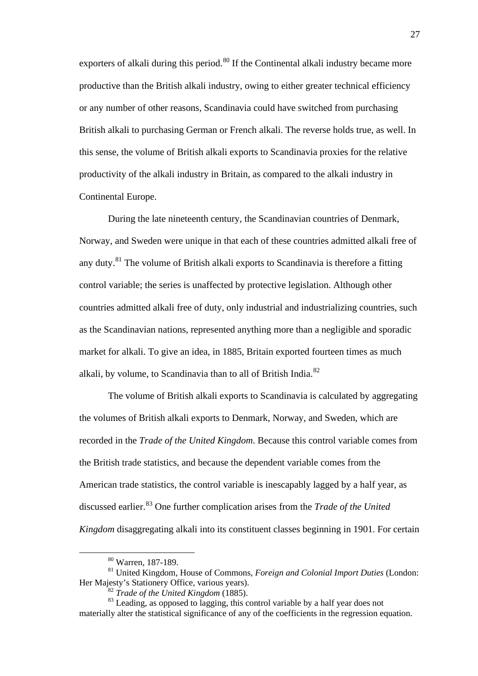exporters of alkali during this period.<sup>[80](#page-27-1)</sup> If the Continental alkali industry became more productive than the British alkali industry, owing to either greater technical efficiency or any number of other reasons, Scandinavia could have switched from purchasing British alkali to purchasing German or French alkali. The reverse holds true, as well. In this sense, the volume of British alkali exports to Scandinavia proxies for the relative productivity of the alkali industry in Britain, as compared to the alkali industry in Continental Europe.

During the late nineteenth century, the Scandinavian countries of Denmark, Norway, and Sweden were unique in that each of these countries admitted alkali free of any duty.<sup>[81](#page-28-0)</sup> The volume of British alkali exports to Scandinavia is therefore a fitting control variable; the series is unaffected by protective legislation. Although other countries admitted alkali free of duty, only industrial and industrializing countries, such as the Scandinavian nations, represented anything more than a negligible and sporadic market for alkali. To give an idea, in 1885, Britain exported fourteen times as much alkali, by volume, to Scandinavia than to all of British India.<sup>[82](#page-28-1)</sup>

The volume of British alkali exports to Scandinavia is calculated by aggregating the volumes of British alkali exports to Denmark, Norway, and Sweden, which are recorded in the *Trade of the United Kingdom*. Because this control variable comes from the British trade statistics, and because the dependent variable comes from the American trade statistics, the control variable is inescapably lagged by a half year, as discussed earlier. [83](#page-28-2) One further complication arises from the *Trade of the United Kingdom* disaggregating alkali into its constituent classes beginning in 1901. For certain

 <sup>80</sup> Warren, 187-189.

<span id="page-28-3"></span><span id="page-28-0"></span><sup>81</sup> United Kingdom, House of Commons, *Foreign and Colonial Import Duties* (London: Her Majesty's Stationery Office, various years).

<sup>82</sup> *Trade of the United Kingdom* (1885).

<span id="page-28-2"></span><span id="page-28-1"></span><sup>&</sup>lt;sup>83</sup> Leading, as opposed to lagging, this control variable by a half year does not materially alter the statistical significance of any of the coefficients in the regression equation.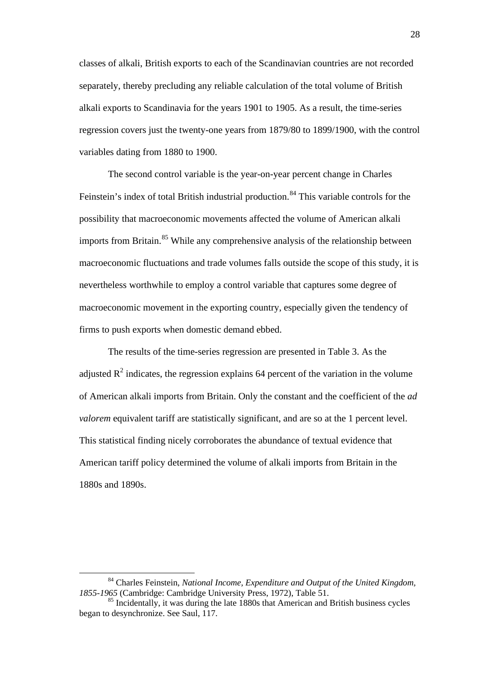classes of alkali, British exports to each of the Scandinavian countries are not recorded separately, thereby precluding any reliable calculation of the total volume of British alkali exports to Scandinavia for the years 1901 to 1905. As a result, the time-series regression covers just the twenty-one years from 1879/80 to 1899/1900, with the control variables dating from 1880 to 1900.

The second control variable is the year-on-year percent change in Charles Feinstein's index of total British industrial production.<sup>[84](#page-28-3)</sup> This variable controls for the possibility that macroeconomic movements affected the volume of American alkali imports from Britain.<sup>[85](#page-29-0)</sup> While any comprehensive analysis of the relationship between macroeconomic fluctuations and trade volumes falls outside the scope of this study, it is nevertheless worthwhile to employ a control variable that captures some degree of macroeconomic movement in the exporting country, especially given the tendency of firms to push exports when domestic demand ebbed.

The results of the time-series regression are presented in Table 3. As the adjusted  $\mathbb{R}^2$  indicates, the regression explains 64 percent of the variation in the volume of American alkali imports from Britain. Only the constant and the coefficient of the *ad valorem* equivalent tariff are statistically significant, and are so at the 1 percent level. This statistical finding nicely corroborates the abundance of textual evidence that American tariff policy determined the volume of alkali imports from Britain in the 1880s and 1890s.

<span id="page-29-1"></span> <sup>84</sup> Charles Feinstein, *National Income, Expenditure and Output of the United Kingdom, 1855-1965* (Cambridge: Cambridge University Press, 1972), Table 51.

<span id="page-29-0"></span><sup>&</sup>lt;sup>85</sup> Incidentally, it was during the late 1880s that American and British business cycles began to desynchronize. See Saul, 117.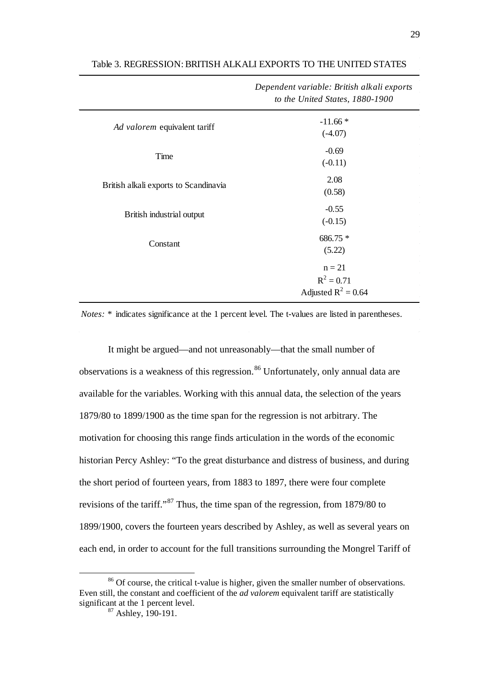|                                       | Dependent variable: British alkalı exports<br>to the United States, 1880-1900 |
|---------------------------------------|-------------------------------------------------------------------------------|
| Ad valorem equivalent tariff          | $-11.66*$<br>$(-4.07)$                                                        |
| Time                                  | $-0.69$<br>$(-0.11)$                                                          |
| British alkali exports to Scandinavia | 2.08<br>(0.58)                                                                |
| British industrial output             | $-0.55$<br>$(-0.15)$                                                          |
| Constant                              | 686.75 *<br>(5.22)                                                            |
|                                       | $n = 21$<br>$R^2 = 0.71$<br>Adjusted $R^2 = 0.64$                             |

#### Table 3. REGRESSION: BRITISH ALKALI EXPORTS TO THE UNITED STATES

*Notes:* \* indicates significance at the 1 percent level. The t-values are listed in parentheses.

It might be argued—and not unreasonably—that the small number of observations is a weakness of this regression.<sup>[86](#page-29-1)</sup> Unfortunately, only annual data are available for the variables. Working with this annual data, the selection of the years 1879/80 to 1899/1900 as the time span for the regression is not arbitrary. The motivation for choosing this range finds articulation in the words of the economic historian Percy Ashley: "To the great disturbance and distress of business, and during the short period of fourteen years, from 1883 to 1897, there were four complete revisions of the tariff."[87](#page-30-0) Thus, the time span of the regression, from 1879/80 to 1899/1900, covers the fourteen years described by Ashley, as well as several years on each end, in order to account for the full transitions surrounding the Mongrel Tariff of

*Dependent variable: British alkali exports* 

<span id="page-30-1"></span><span id="page-30-0"></span><sup>&</sup>lt;sup>86</sup> Of course, the critical t-value is higher, given the smaller number of observations. Even still, the constant and coefficient of the *ad valorem* equivalent tariff are statistically significant at the 1 percent level.

 $87$  Ashley, 190-191.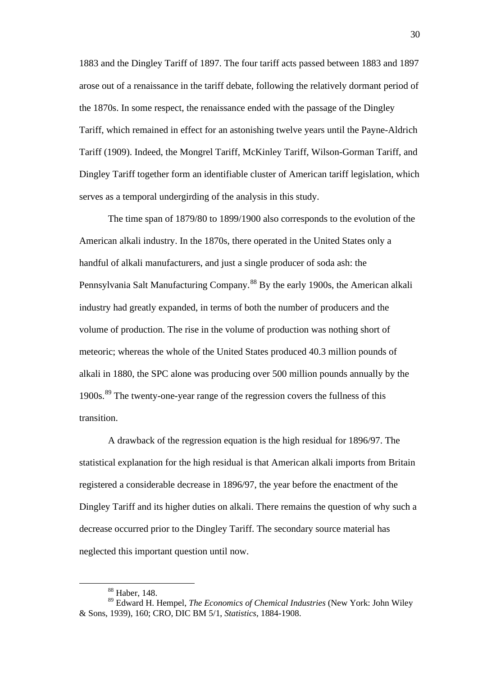1883 and the Dingley Tariff of 1897. The four tariff acts passed between 1883 and 1897 arose out of a renaissance in the tariff debate, following the relatively dormant period of the 1870s. In some respect, the renaissance ended with the passage of the Dingley Tariff, which remained in effect for an astonishing twelve years until the Payne-Aldrich Tariff (1909). Indeed, the Mongrel Tariff, McKinley Tariff, Wilson-Gorman Tariff, and Dingley Tariff together form an identifiable cluster of American tariff legislation, which serves as a temporal undergirding of the analysis in this study.

The time span of 1879/80 to 1899/1900 also corresponds to the evolution of the American alkali industry. In the 1870s, there operated in the United States only a handful of alkali manufacturers, and just a single producer of soda ash: the Pennsylvania Salt Manufacturing Company.[88](#page-30-1) By the early 1900s, the American alkali industry had greatly expanded, in terms of both the number of producers and the volume of production. The rise in the volume of production was nothing short of meteoric; whereas the whole of the United States produced 40.3 million pounds of alkali in 1880, the SPC alone was producing over 500 million pounds annually by the 1900s.<sup>[89](#page-31-0)</sup> The twenty-one-year range of the regression covers the fullness of this transition.

A drawback of the regression equation is the high residual for 1896/97. The statistical explanation for the high residual is that American alkali imports from Britain registered a considerable decrease in 1896/97, the year before the enactment of the Dingley Tariff and its higher duties on alkali. There remains the question of why such a decrease occurred prior to the Dingley Tariff. The secondary source material has neglected this important question until now.

 <sup>88</sup> Haber, 148.

<span id="page-31-1"></span><span id="page-31-0"></span><sup>89</sup> Edward H. Hempel, *The Economics of Chemical Industries* (New York: John Wiley & Sons, 1939), 160; CRO, DIC BM 5/1, *Statistics*, 1884-1908.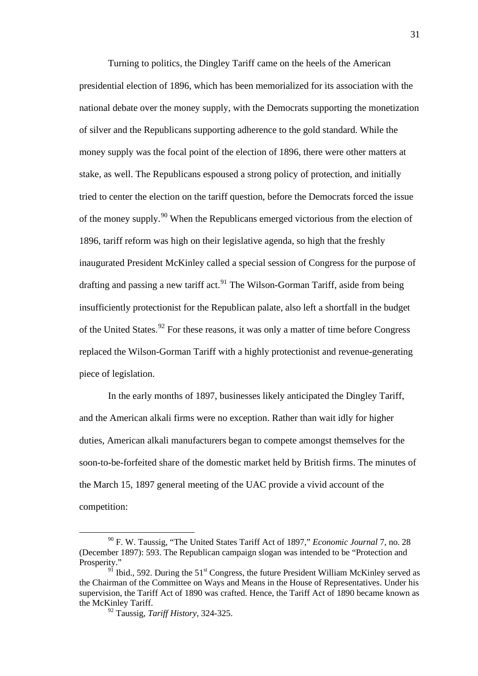Turning to politics, the Dingley Tariff came on the heels of the American presidential election of 1896, which has been memorialized for its association with the national debate over the money supply, with the Democrats supporting the monetization of silver and the Republicans supporting adherence to the gold standard. While the money supply was the focal point of the election of 1896, there were other matters at stake, as well. The Republicans espoused a strong policy of protection, and initially tried to center the election on the tariff question, before the Democrats forced the issue of the money supply.<sup>[90](#page-31-1)</sup> When the Republicans emerged victorious from the election of 1896, tariff reform was high on their legislative agenda, so high that the freshly inaugurated President McKinley called a special session of Congress for the purpose of drafting and passing a new tariff act.<sup>[91](#page-32-0)</sup> The Wilson-Gorman Tariff, aside from being insufficiently protectionist for the Republican palate, also left a shortfall in the budget of the United States.<sup>[92](#page-32-1)</sup> For these reasons, it was only a matter of time before Congress replaced the Wilson-Gorman Tariff with a highly protectionist and revenue-generating piece of legislation.

In the early months of 1897, businesses likely anticipated the Dingley Tariff, and the American alkali firms were no exception. Rather than wait idly for higher duties, American alkali manufacturers began to compete amongst themselves for the soon-to-be-forfeited share of the domestic market held by British firms. The minutes of the March 15, 1897 general meeting of the UAC provide a vivid account of the competition:

<span id="page-32-2"></span> <sup>90</sup> F. W. Taussig, "The United States Tariff Act of 1897," *Economic Journal* 7, no. 28 (December 1897): 593. The Republican campaign slogan was intended to be "Protection and Prosperity."

<span id="page-32-1"></span><span id="page-32-0"></span> $9^{\circ}$  Ibid., 592. During the 51<sup>st</sup> Congress, the future President William McKinley served as the Chairman of the Committee on Ways and Means in the House of Representatives. Under his supervision, the Tariff Act of 1890 was crafted. Hence, the Tariff Act of 1890 became known as the McKinley Tariff.

<sup>92</sup> Taussig, *Tariff History*, 324-325.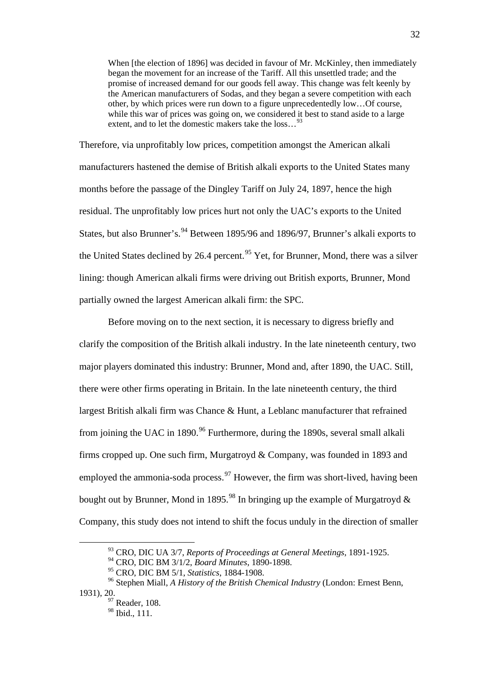When [the election of 1896] was decided in favour of Mr. McKinley, then immediately began the movement for an increase of the Tariff. All this unsettled trade; and the promise of increased demand for our goods fell away. This change was felt keenly by the American manufacturers of Sodas, and they began a severe competition with each other, by which prices were run down to a figure unprecedentedly low…Of course, while this war of prices was going on, we considered it best to stand aside to a large extent, and to let the domestic makers take the loss...<sup>[93](#page-32-2)</sup>

Therefore, via unprofitably low prices, competition amongst the American alkali manufacturers hastened the demise of British alkali exports to the United States many months before the passage of the Dingley Tariff on July 24, 1897, hence the high residual. The unprofitably low prices hurt not only the UAC's exports to the United States, but also Brunner's.<sup>[94](#page-33-0)</sup> Between 1895/96 and 1896/97, Brunner's alkali exports to the United States declined by 26.4 percent.<sup>[95](#page-33-1)</sup> Yet, for Brunner, Mond, there was a silver lining: though American alkali firms were driving out British exports, Brunner, Mond partially owned the largest American alkali firm: the SPC.

Before moving on to the next section, it is necessary to digress briefly and clarify the composition of the British alkali industry. In the late nineteenth century, two major players dominated this industry: Brunner, Mond and, after 1890, the UAC. Still, there were other firms operating in Britain. In the late nineteenth century, the third largest British alkali firm was Chance & Hunt, a Leblanc manufacturer that refrained from joining the UAC in 1890.<sup>[96](#page-33-2)</sup> Furthermore, during the 1890s, several small alkali firms cropped up. One such firm, Murgatroyd & Company, was founded in 1893 and employed the ammonia-soda process.  $\frac{97}{97}$  $\frac{97}{97}$  $\frac{97}{97}$  However, the firm was short-lived, having been bought out by Brunner, Mond in 1895.<sup>[98](#page-33-4)</sup> In bringing up the example of Murgatroyd  $\&$ Company, this study does not intend to shift the focus unduly in the direction of smaller

 <sup>93</sup> CRO, DIC UA 3/7, *Reports of Proceedings at General Meetings*, 1891-1925.

<sup>94</sup> CRO, DIC BM 3/1/2, *Board Minutes*, 1890-1898.

<sup>95</sup> CRO, DIC BM 5/1, *Statistics*, 1884-1908.

<span id="page-33-4"></span><span id="page-33-3"></span><span id="page-33-2"></span><span id="page-33-1"></span><span id="page-33-0"></span><sup>96</sup> Stephen Miall, *A History of the British Chemical Industry* (London: Ernest Benn, 1931), 20.

 $97$  Reader, 108. <sup>98</sup> Ibid., 111.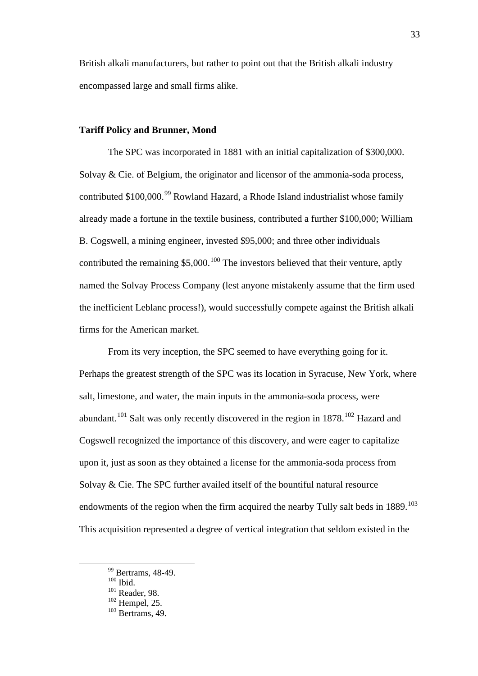British alkali manufacturers, but rather to point out that the British alkali industry encompassed large and small firms alike.

# **Tariff Policy and Brunner, Mond**

The SPC was incorporated in 1881 with an initial capitalization of \$300,000. Solvay & Cie. of Belgium, the originator and licensor of the ammonia-soda process, contributed  $$100,000.^{99}$  $$100,000.^{99}$  $$100,000.^{99}$  Rowland Hazard, a Rhode Island industrialist whose family already made a fortune in the textile business, contributed a further \$100,000; William B. Cogswell, a mining engineer, invested \$95,000; and three other individuals contributed the remaining  $$5,000$ .<sup>[100](#page-34-0)</sup> The investors believed that their venture, aptly named the Solvay Process Company (lest anyone mistakenly assume that the firm used the inefficient Leblanc process!), would successfully compete against the British alkali firms for the American market.

From its very inception, the SPC seemed to have everything going for it. Perhaps the greatest strength of the SPC was its location in Syracuse, New York, where salt, limestone, and water, the main inputs in the ammonia-soda process, were abundant.<sup>[101](#page-34-1)</sup> Salt was only recently discovered in the region in  $1878$ .<sup>[102](#page-34-2)</sup> Hazard and Cogswell recognized the importance of this discovery, and were eager to capitalize upon it, just as soon as they obtained a license for the ammonia-soda process from Solvay & Cie. The SPC further availed itself of the bountiful natural resource endowments of the region when the firm acquired the nearby Tully salt beds in  $1889$ <sup>[103](#page-34-3)</sup> This acquisition represented a degree of vertical integration that seldom existed in the

<span id="page-34-4"></span><sup>&</sup>lt;sup>99</sup> Bertrams, 48-49.

<span id="page-34-0"></span> $100$  Ibid.

<sup>101</sup> Reader, 98.

<span id="page-34-2"></span><span id="page-34-1"></span> $102$  Hempel, 25.

<span id="page-34-3"></span> $103$  Bertrams, 49.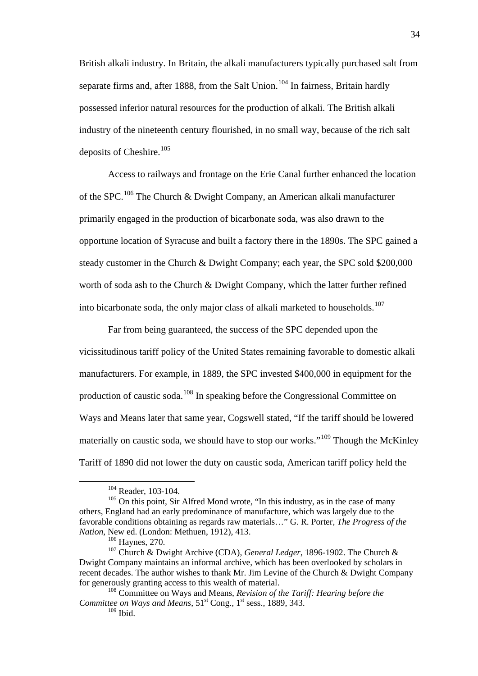British alkali industry. In Britain, the alkali manufacturers typically purchased salt from separate firms and, after 1888, from the Salt Union.<sup>[104](#page-34-4)</sup> In fairness, Britain hardly possessed inferior natural resources for the production of alkali. The British alkali industry of the nineteenth century flourished, in no small way, because of the rich salt deposits of Cheshire.<sup>[105](#page-35-0)</sup>

Access to railways and frontage on the Erie Canal further enhanced the location of the SPC.<sup>[106](#page-35-1)</sup> The Church & Dwight Company, an American alkali manufacturer primarily engaged in the production of bicarbonate soda, was also drawn to the opportune location of Syracuse and built a factory there in the 1890s. The SPC gained a steady customer in the Church & Dwight Company; each year, the SPC sold \$200,000 worth of soda ash to the Church & Dwight Company, which the latter further refined into bicarbonate soda, the only major class of alkali marketed to households.<sup>[107](#page-35-2)</sup>

Far from being guaranteed, the success of the SPC depended upon the vicissitudinous tariff policy of the United States remaining favorable to domestic alkali manufacturers. For example, in 1889, the SPC invested \$400,000 in equipment for the production of caustic soda.[108](#page-35-3) In speaking before the Congressional Committee on Ways and Means later that same year, Cogswell stated, "If the tariff should be lowered materially on caustic soda, we should have to stop our works."<sup>[109](#page-35-4)</sup> Though the McKinley Tariff of 1890 did not lower the duty on caustic soda, American tariff policy held the

<sup>&</sup>lt;sup>104</sup> Reader, 103-104.

<span id="page-35-0"></span><sup>&</sup>lt;sup>105</sup> On this point, Sir Alfred Mond wrote, "In this industry, as in the case of many others, England had an early predominance of manufacture, which was largely due to the favorable conditions obtaining as regards raw materials…" G. R. Porter, *The Progress of the Nation*, New ed. (London: Methuen, 1912), 413.

<sup>106</sup> Haynes, 270.

<span id="page-35-5"></span><span id="page-35-2"></span><span id="page-35-1"></span><sup>107</sup> Church & Dwight Archive (CDA), *General Ledger*, 1896-1902. The Church & Dwight Company maintains an informal archive, which has been overlooked by scholars in recent decades. The author wishes to thank Mr. Jim Levine of the Church & Dwight Company for generously granting access to this wealth of material.

<span id="page-35-4"></span><span id="page-35-3"></span><sup>108</sup> Committee on Ways and Means, *Revision of the Tariff: Hearing before the Committee on Ways and Means*,  $51<sup>st</sup>$  Cong.,  $1<sup>st</sup>$  sess., 1889, 343.  $109$  Ibid.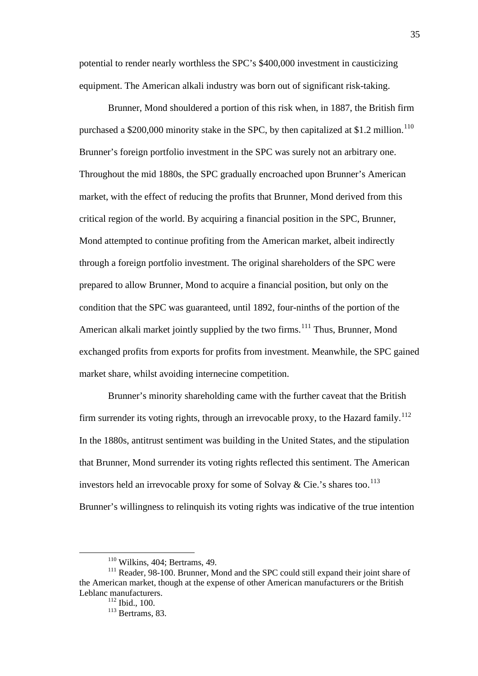potential to render nearly worthless the SPC's \$400,000 investment in causticizing equipment. The American alkali industry was born out of significant risk-taking.

Brunner, Mond shouldered a portion of this risk when, in 1887, the British firm purchased a \$200,000 minority stake in the SPC, by then capitalized at \$1.2 million.<sup>[110](#page-35-5)</sup> Brunner's foreign portfolio investment in the SPC was surely not an arbitrary one. Throughout the mid 1880s, the SPC gradually encroached upon Brunner's American market, with the effect of reducing the profits that Brunner, Mond derived from this critical region of the world. By acquiring a financial position in the SPC, Brunner, Mond attempted to continue profiting from the American market, albeit indirectly through a foreign portfolio investment. The original shareholders of the SPC were prepared to allow Brunner, Mond to acquire a financial position, but only on the condition that the SPC was guaranteed, until 1892, four-ninths of the portion of the American alkali market jointly supplied by the two firms.<sup>[111](#page-36-0)</sup> Thus, Brunner, Mond exchanged profits from exports for profits from investment. Meanwhile, the SPC gained market share, whilst avoiding internecine competition.

Brunner's minority shareholding came with the further caveat that the British firm surrender its voting rights, through an irrevocable proxy, to the Hazard family.<sup>[112](#page-36-1)</sup> In the 1880s, antitrust sentiment was building in the United States, and the stipulation that Brunner, Mond surrender its voting rights reflected this sentiment. The American investors held an irrevocable proxy for some of Solvay & Cie.'s shares too.<sup>[113](#page-36-2)</sup> Brunner's willingness to relinquish its voting rights was indicative of the true intention

 $110$  Wilkins, 404; Bertrams, 49.

<span id="page-36-3"></span><span id="page-36-2"></span><span id="page-36-1"></span><span id="page-36-0"></span><sup>&</sup>lt;sup>111</sup> Reader, 98-100. Brunner, Mond and the SPC could still expand their joint share of the American market, though at the expense of other American manufacturers or the British Leblanc manufacturers.

 $112$  Ibid., 100.

 $113$  Bertrams, 83.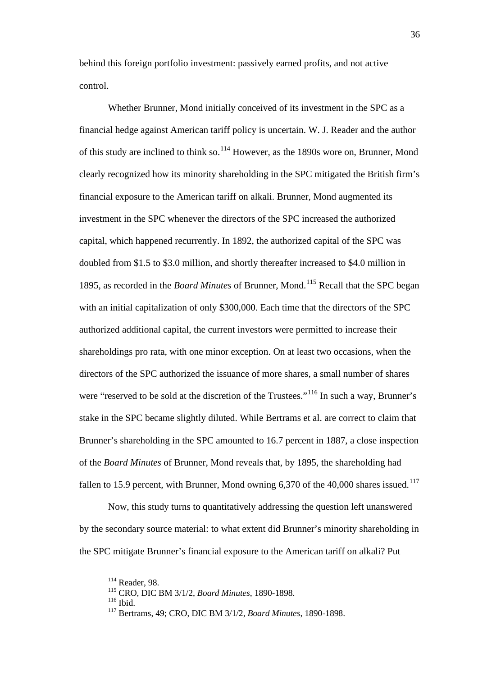behind this foreign portfolio investment: passively earned profits, and not active control.

Whether Brunner, Mond initially conceived of its investment in the SPC as a financial hedge against American tariff policy is uncertain. W. J. Reader and the author of this study are inclined to think so.<sup>[114](#page-36-3)</sup> However, as the 1890s wore on, Brunner, Mond clearly recognized how its minority shareholding in the SPC mitigated the British firm's financial exposure to the American tariff on alkali. Brunner, Mond augmented its investment in the SPC whenever the directors of the SPC increased the authorized capital, which happened recurrently. In 1892, the authorized capital of the SPC was doubled from \$1.5 to \$3.0 million, and shortly thereafter increased to \$4.0 million in 1895, as recorded in the *Board Minutes* of Brunner, Mond.[115](#page-37-0) Recall that the SPC began with an initial capitalization of only \$300,000. Each time that the directors of the SPC authorized additional capital, the current investors were permitted to increase their shareholdings pro rata, with one minor exception. On at least two occasions, when the directors of the SPC authorized the issuance of more shares, a small number of shares were "reserved to be sold at the discretion of the Trustees."<sup>[116](#page-37-1)</sup> In such a way, Brunner's stake in the SPC became slightly diluted. While Bertrams et al. are correct to claim that Brunner's shareholding in the SPC amounted to 16.7 percent in 1887, a close inspection of the *Board Minutes* of Brunner, Mond reveals that, by 1895, the shareholding had fallen to 15.9 percent, with Brunner, Mond owning  $6,370$  of the 40,000 shares issued.<sup>[117](#page-37-2)</sup>

Now, this study turns to quantitatively addressing the question left unanswered by the secondary source material: to what extent did Brunner's minority shareholding in the SPC mitigate Brunner's financial exposure to the American tariff on alkali? Put

 <sup>114</sup> Reader, 98.

<span id="page-37-0"></span><sup>115</sup> CRO, DIC BM 3/1/2, *Board Minutes*, 1890-1898.

<span id="page-37-1"></span> $^{116}$  Ibid.

<span id="page-37-2"></span><sup>117</sup> Bertrams, 49; CRO, DIC BM 3/1/2, *Board Minutes*, 1890-1898.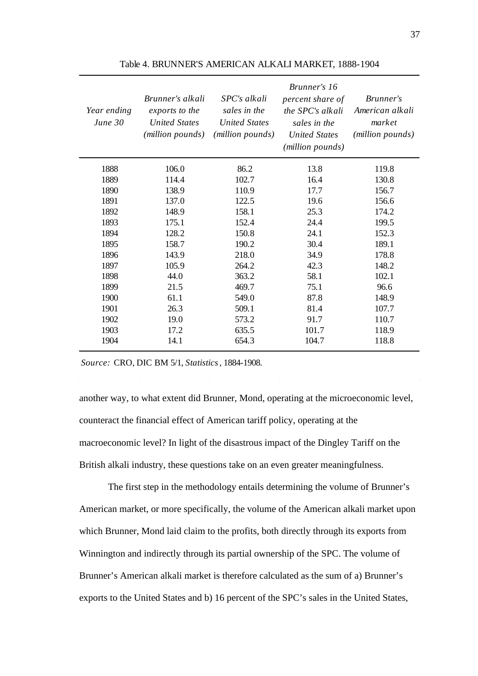| Year ending<br>June $30$ | Brunner's alkali<br>exports to the<br><b>United States</b><br>( <i>million pounds</i> ) | SPC's alkali<br>sales in the<br><b>United States</b><br>( <i>million pounds</i> ) | Brunner's 16<br>percent share of<br>the SPC's alkali<br>sales in the<br><b>United States</b><br>(million pounds) | Brunner's<br>American alkali<br>market<br>(million pounds) |
|--------------------------|-----------------------------------------------------------------------------------------|-----------------------------------------------------------------------------------|------------------------------------------------------------------------------------------------------------------|------------------------------------------------------------|
| 1888                     | 106.0                                                                                   | 86.2                                                                              | 13.8                                                                                                             | 119.8                                                      |
| 1889                     | 114.4                                                                                   | 102.7                                                                             | 16.4                                                                                                             | 130.8                                                      |
| 1890                     | 138.9                                                                                   | 110.9                                                                             | 17.7                                                                                                             | 156.7                                                      |
| 1891                     | 137.0                                                                                   | 122.5                                                                             | 19.6                                                                                                             | 156.6                                                      |
| 1892                     | 148.9                                                                                   | 158.1                                                                             | 25.3                                                                                                             | 174.2                                                      |
| 1893                     | 175.1                                                                                   | 152.4                                                                             | 24.4                                                                                                             | 199.5                                                      |
| 1894                     | 128.2                                                                                   | 150.8                                                                             | 24.1                                                                                                             | 152.3                                                      |
| 1895                     | 158.7                                                                                   | 190.2                                                                             | 30.4                                                                                                             | 189.1                                                      |
| 1896                     | 143.9                                                                                   | 218.0                                                                             | 34.9                                                                                                             | 178.8                                                      |
| 1897                     | 105.9                                                                                   | 264.2                                                                             | 42.3                                                                                                             | 148.2                                                      |
| 1898                     | 44.0                                                                                    | 363.2                                                                             | 58.1                                                                                                             | 102.1                                                      |
| 1899                     | 21.5                                                                                    | 469.7                                                                             | 75.1                                                                                                             | 96.6                                                       |
| 1900                     | 61.1                                                                                    | 549.0                                                                             | 87.8                                                                                                             | 148.9                                                      |
| 1901                     | 26.3                                                                                    | 509.1                                                                             | 81.4                                                                                                             | 107.7                                                      |
| 1902                     | 19.0                                                                                    | 573.2                                                                             | 91.7                                                                                                             | 110.7                                                      |
| 1903                     | 17.2                                                                                    | 635.5                                                                             | 101.7                                                                                                            | 118.9                                                      |
| 1904                     | 14.1                                                                                    | 654.3                                                                             | 104.7                                                                                                            | 118.8                                                      |

Table 4. BRUNNER'S AMERICAN ALKALI MARKET, 1888-1904

*Source:* CRO, DIC BM 5/1, *Statistics*, 1884-1908.

another way, to what extent did Brunner, Mond, operating at the microeconomic level, counteract the financial effect of American tariff policy, operating at the macroeconomic level? In light of the disastrous impact of the Dingley Tariff on the British alkali industry, these questions take on an even greater meaningfulness.

The first step in the methodology entails determining the volume of Brunner's American market, or more specifically, the volume of the American alkali market upon which Brunner, Mond laid claim to the profits, both directly through its exports from Winnington and indirectly through its partial ownership of the SPC. The volume of Brunner's American alkali market is therefore calculated as the sum of a) Brunner's exports to the United States and b) 16 percent of the SPC's sales in the United States,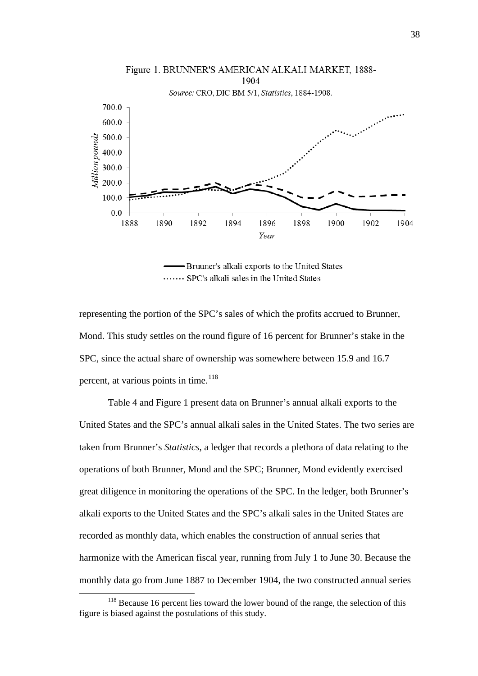

- Bruuner's alkali exports to the United States ....... SPC's alkali sales in the United States

representing the portion of the SPC's sales of which the profits accrued to Brunner, Mond. This study settles on the round figure of 16 percent for Brunner's stake in the SPC, since the actual share of ownership was somewhere between 15.9 and 16.7 percent, at various points in time.<sup>[118](#page-37-1)</sup>

Table 4 and Figure 1 present data on Brunner's annual alkali exports to the United States and the SPC's annual alkali sales in the United States. The two series are taken from Brunner's *Statistics*, a ledger that records a plethora of data relating to the operations of both Brunner, Mond and the SPC; Brunner, Mond evidently exercised great diligence in monitoring the operations of the SPC. In the ledger, both Brunner's alkali exports to the United States and the SPC's alkali sales in the United States are recorded as monthly data, which enables the construction of annual series that harmonize with the American fiscal year, running from July 1 to June 30. Because the monthly data go from June 1887 to December 1904, the two constructed annual series

<span id="page-39-0"></span><sup>&</sup>lt;sup>118</sup> Because 16 percent lies toward the lower bound of the range, the selection of this figure is biased against the postulations of this study.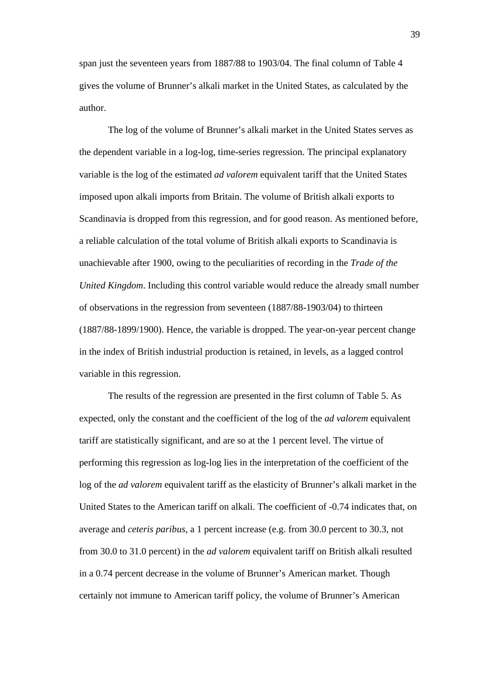span just the seventeen years from 1887/88 to 1903/04. The final column of Table 4 gives the volume of Brunner's alkali market in the United States, as calculated by the author.

The log of the volume of Brunner's alkali market in the United States serves as the dependent variable in a log-log, time-series regression. The principal explanatory variable is the log of the estimated *ad valorem* equivalent tariff that the United States imposed upon alkali imports from Britain. The volume of British alkali exports to Scandinavia is dropped from this regression, and for good reason. As mentioned before, a reliable calculation of the total volume of British alkali exports to Scandinavia is unachievable after 1900, owing to the peculiarities of recording in the *Trade of the United Kingdom*. Including this control variable would reduce the already small number of observations in the regression from seventeen (1887/88-1903/04) to thirteen (1887/88-1899/1900). Hence, the variable is dropped. The year-on-year percent change in the index of British industrial production is retained, in levels, as a lagged control variable in this regression.

The results of the regression are presented in the first column of Table 5. As expected, only the constant and the coefficient of the log of the *ad valorem* equivalent tariff are statistically significant, and are so at the 1 percent level. The virtue of performing this regression as log-log lies in the interpretation of the coefficient of the log of the *ad valorem* equivalent tariff as the elasticity of Brunner's alkali market in the United States to the American tariff on alkali. The coefficient of -0.74 indicates that, on average and *ceteris paribus*, a 1 percent increase (e.g. from 30.0 percent to 30.3, not from 30.0 to 31.0 percent) in the *ad valorem* equivalent tariff on British alkali resulted in a 0.74 percent decrease in the volume of Brunner's American market. Though certainly not immune to American tariff policy, the volume of Brunner's American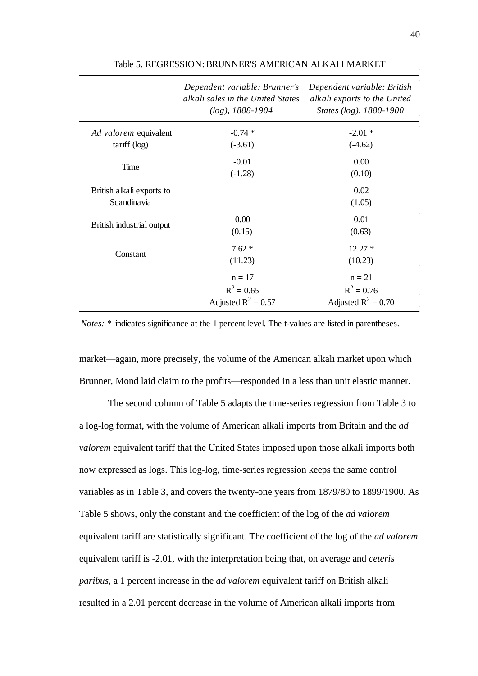|                                                | Dependent variable: Brunner's<br>alkali sales in the United States<br>$(log)$ , 1888-1904 | Dependent variable: British<br>alkali exports to the United<br>States (log), 1880-1900 |
|------------------------------------------------|-------------------------------------------------------------------------------------------|----------------------------------------------------------------------------------------|
| Ad valorem equivalent<br>$\text{tariff}$ (log) | $-0.74*$<br>$(-3.61)$                                                                     | $-2.01*$<br>$(-4.62)$                                                                  |
| Time                                           | $-0.01$<br>$(-1.28)$                                                                      | 0.00<br>(0.10)                                                                         |
| British alkali exports to<br>Scandinavia       |                                                                                           | 0.02<br>(1.05)                                                                         |
| British industrial output                      | 0.00<br>(0.15)                                                                            | 0.01<br>(0.63)                                                                         |
| Constant                                       | $7.62*$<br>(11.23)                                                                        | $12.27*$<br>(10.23)                                                                    |
|                                                | $n = 17$<br>$R^2 = 0.65$<br>Adjusted $R^2 = 0.57$                                         | $n = 21$<br>$R^2 = 0.76$<br>Adjusted $R^2 = 0.70$                                      |

Table 5. REGRESSION: BRUNNER'S AMERICAN ALKALI MARKET

*Notes: \** indicates significance at the 1 percent level. The t-values are listed in parentheses.

market—again, more precisely, the volume of the American alkali market upon which Brunner, Mond laid claim to the profits—responded in a less than unit elastic manner.

The second column of Table 5 adapts the time-series regression from Table 3 to a log-log format, with the volume of American alkali imports from Britain and the *ad valorem* equivalent tariff that the United States imposed upon those alkali imports both now expressed as logs. This log-log, time-series regression keeps the same control variables as in Table 3, and covers the twenty-one years from 1879/80 to 1899/1900. As Table 5 shows, only the constant and the coefficient of the log of the *ad valorem*  equivalent tariff are statistically significant. The coefficient of the log of the *ad valorem*  equivalent tariff is -2.01, with the interpretation being that, on average and *ceteris paribus*, a 1 percent increase in the *ad valorem* equivalent tariff on British alkali resulted in a 2.01 percent decrease in the volume of American alkali imports from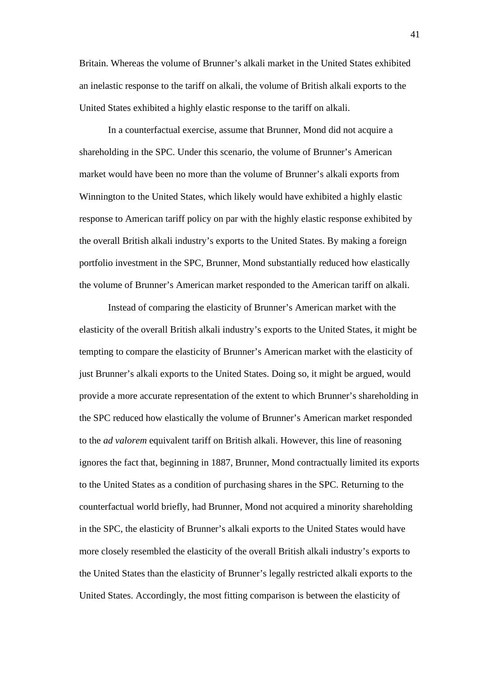Britain. Whereas the volume of Brunner's alkali market in the United States exhibited an inelastic response to the tariff on alkali, the volume of British alkali exports to the United States exhibited a highly elastic response to the tariff on alkali.

In a counterfactual exercise, assume that Brunner, Mond did not acquire a shareholding in the SPC. Under this scenario, the volume of Brunner's American market would have been no more than the volume of Brunner's alkali exports from Winnington to the United States, which likely would have exhibited a highly elastic response to American tariff policy on par with the highly elastic response exhibited by the overall British alkali industry's exports to the United States. By making a foreign portfolio investment in the SPC, Brunner, Mond substantially reduced how elastically the volume of Brunner's American market responded to the American tariff on alkali.

Instead of comparing the elasticity of Brunner's American market with the elasticity of the overall British alkali industry's exports to the United States, it might be tempting to compare the elasticity of Brunner's American market with the elasticity of just Brunner's alkali exports to the United States. Doing so, it might be argued, would provide a more accurate representation of the extent to which Brunner's shareholding in the SPC reduced how elastically the volume of Brunner's American market responded to the *ad valorem* equivalent tariff on British alkali. However, this line of reasoning ignores the fact that, beginning in 1887, Brunner, Mond contractually limited its exports to the United States as a condition of purchasing shares in the SPC. Returning to the counterfactual world briefly, had Brunner, Mond not acquired a minority shareholding in the SPC, the elasticity of Brunner's alkali exports to the United States would have more closely resembled the elasticity of the overall British alkali industry's exports to the United States than the elasticity of Brunner's legally restricted alkali exports to the United States. Accordingly, the most fitting comparison is between the elasticity of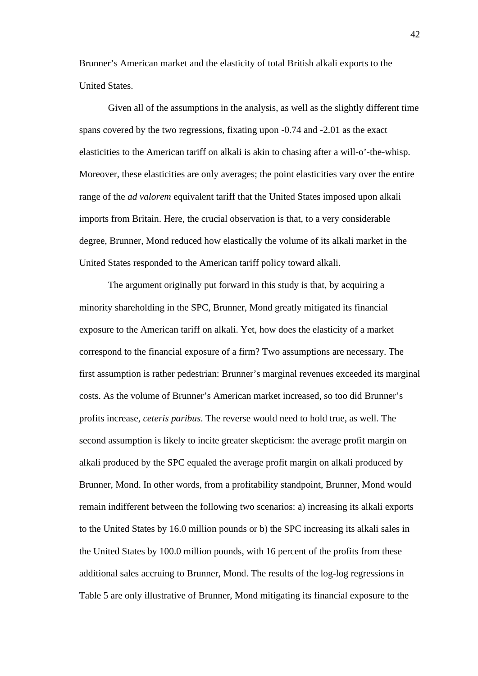Brunner's American market and the elasticity of total British alkali exports to the United States.

Given all of the assumptions in the analysis, as well as the slightly different time spans covered by the two regressions, fixating upon -0.74 and -2.01 as the exact elasticities to the American tariff on alkali is akin to chasing after a will-o'-the-whisp. Moreover, these elasticities are only averages; the point elasticities vary over the entire range of the *ad valorem* equivalent tariff that the United States imposed upon alkali imports from Britain. Here, the crucial observation is that, to a very considerable degree, Brunner, Mond reduced how elastically the volume of its alkali market in the United States responded to the American tariff policy toward alkali.

The argument originally put forward in this study is that, by acquiring a minority shareholding in the SPC, Brunner, Mond greatly mitigated its financial exposure to the American tariff on alkali. Yet, how does the elasticity of a market correspond to the financial exposure of a firm? Two assumptions are necessary. The first assumption is rather pedestrian: Brunner's marginal revenues exceeded its marginal costs. As the volume of Brunner's American market increased, so too did Brunner's profits increase, *ceteris paribus*. The reverse would need to hold true, as well. The second assumption is likely to incite greater skepticism: the average profit margin on alkali produced by the SPC equaled the average profit margin on alkali produced by Brunner, Mond. In other words, from a profitability standpoint, Brunner, Mond would remain indifferent between the following two scenarios: a) increasing its alkali exports to the United States by 16.0 million pounds or b) the SPC increasing its alkali sales in the United States by 100.0 million pounds, with 16 percent of the profits from these additional sales accruing to Brunner, Mond. The results of the log-log regressions in Table 5 are only illustrative of Brunner, Mond mitigating its financial exposure to the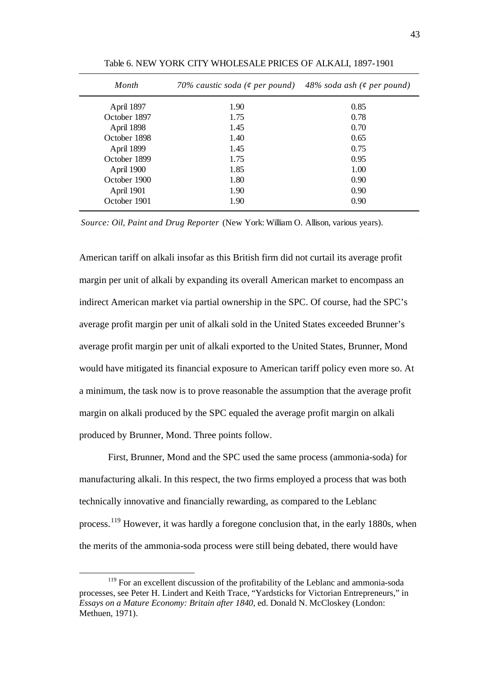| Month        | 70% caustic soda (¢ per pound) 48% soda ash (¢ per pound) |      |
|--------------|-----------------------------------------------------------|------|
| April 1897   | 1.90                                                      | 0.85 |
| October 1897 | 1.75                                                      | 0.78 |
| April 1898   | 1.45                                                      | 0.70 |
| October 1898 | 1.40                                                      | 0.65 |
| April 1899   | 1.45                                                      | 0.75 |
| October 1899 | 1.75                                                      | 0.95 |
| April 1900   | 1.85                                                      | 1.00 |
| October 1900 | 1.80                                                      | 0.90 |
| April 1901   | 1.90                                                      | 0.90 |
| October 1901 | 1.90                                                      | 0.90 |

Table 6. NEW YORK CITY WHOLESALE PRICES OF ALKALI, 1897-1901

*Source: Oil, Paint and Drug Reporter* (New York: William O. Allison, various years).

American tariff on alkali insofar as this British firm did not curtail its average profit margin per unit of alkali by expanding its overall American market to encompass an indirect American market via partial ownership in the SPC. Of course, had the SPC's average profit margin per unit of alkali sold in the United States exceeded Brunner's average profit margin per unit of alkali exported to the United States, Brunner, Mond would have mitigated its financial exposure to American tariff policy even more so. At a minimum, the task now is to prove reasonable the assumption that the average profit margin on alkali produced by the SPC equaled the average profit margin on alkali produced by Brunner, Mond. Three points follow.

First, Brunner, Mond and the SPC used the same process (ammonia-soda) for manufacturing alkali. In this respect, the two firms employed a process that was both technically innovative and financially rewarding, as compared to the Leblanc process.<sup>[119](#page-39-0)</sup> However, it was hardly a foregone conclusion that, in the early 1880s, when the merits of the ammonia-soda process were still being debated, there would have

<span id="page-44-0"></span><sup>&</sup>lt;sup>119</sup> For an excellent discussion of the profitability of the Leblanc and ammonia-soda processes, see Peter H. Lindert and Keith Trace, "Yardsticks for Victorian Entrepreneurs," in *Essays on a Mature Economy: Britain after 1840*, ed. Donald N. McCloskey (London: Methuen, 1971).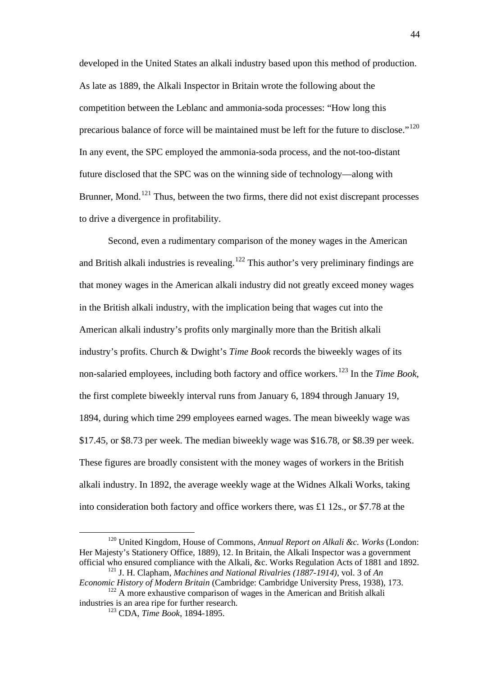developed in the United States an alkali industry based upon this method of production. As late as 1889, the Alkali Inspector in Britain wrote the following about the competition between the Leblanc and ammonia-soda processes: "How long this precarious balance of force will be maintained must be left for the future to disclose."<sup>[120](#page-44-0)</sup> In any event, the SPC employed the ammonia-soda process, and the not-too-distant future disclosed that the SPC was on the winning side of technology—along with Brunner, Mond.<sup>[121](#page-45-0)</sup> Thus, between the two firms, there did not exist discrepant processes to drive a divergence in profitability.

Second, even a rudimentary comparison of the money wages in the American and British alkali industries is revealing.<sup>[122](#page-45-1)</sup> This author's very preliminary findings are that money wages in the American alkali industry did not greatly exceed money wages in the British alkali industry, with the implication being that wages cut into the American alkali industry's profits only marginally more than the British alkali industry's profits. Church & Dwight's *Time Book* records the biweekly wages of its non-salaried employees, including both factory and office workers. [123](#page-45-2) In the *Time Book*, the first complete biweekly interval runs from January 6, 1894 through January 19, 1894, during which time 299 employees earned wages. The mean biweekly wage was \$17.45, or \$8.73 per week. The median biweekly wage was \$16.78, or \$8.39 per week. These figures are broadly consistent with the money wages of workers in the British alkali industry. In 1892, the average weekly wage at the Widnes Alkali Works, taking into consideration both factory and office workers there, was £1 12s., or \$7.78 at the

 <sup>120</sup> United Kingdom, House of Commons, *Annual Report on Alkali &c. Works* (London: Her Majesty's Stationery Office, 1889), 12. In Britain, the Alkali Inspector was a government official who ensured compliance with the Alkali, &c. Works Regulation Acts of 1881 and 1892. <sup>121</sup> J. H. Clapham, *Machines and National Rivalries (1887-1914)*, vol. 3 of *An* 

<span id="page-45-0"></span>*Economic History of Modern Britain* (Cambridge: Cambridge University Press, 1938), 173.

<span id="page-45-2"></span><span id="page-45-1"></span><sup>&</sup>lt;sup>122</sup> A more exhaustive comparison of wages in the American and British alkali industries is an area ripe for further research.

<sup>123</sup> CDA, *Time Book*, 1894-1895.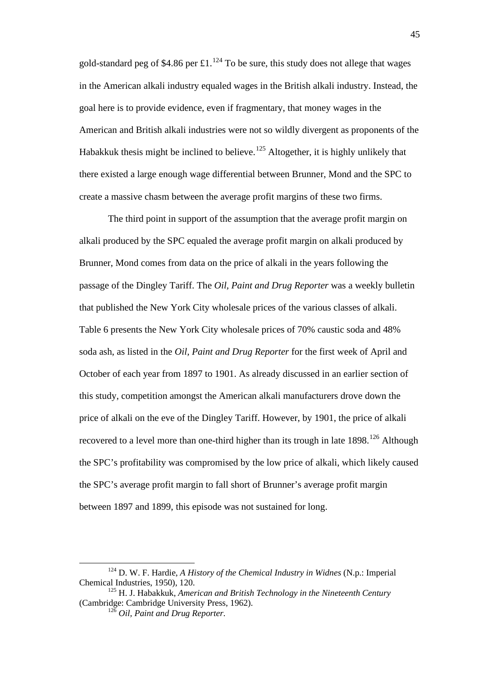gold-standard peg of \$4.86 per £1.<sup>[124](#page-45-0)</sup> To be sure, this study does not allege that wages in the American alkali industry equaled wages in the British alkali industry. Instead, the goal here is to provide evidence, even if fragmentary, that money wages in the American and British alkali industries were not so wildly divergent as proponents of the Habakkuk thesis might be inclined to believe.<sup>[125](#page-46-0)</sup> Altogether, it is highly unlikely that there existed a large enough wage differential between Brunner, Mond and the SPC to create a massive chasm between the average profit margins of these two firms.

The third point in support of the assumption that the average profit margin on alkali produced by the SPC equaled the average profit margin on alkali produced by Brunner, Mond comes from data on the price of alkali in the years following the passage of the Dingley Tariff. The *Oil, Paint and Drug Reporter* was a weekly bulletin that published the New York City wholesale prices of the various classes of alkali. Table 6 presents the New York City wholesale prices of 70% caustic soda and 48% soda ash, as listed in the *Oil, Paint and Drug Reporter* for the first week of April and October of each year from 1897 to 1901. As already discussed in an earlier section of this study, competition amongst the American alkali manufacturers drove down the price of alkali on the eve of the Dingley Tariff. However, by 1901, the price of alkali recovered to a level more than one-third higher than its trough in late  $1898$ <sup>[126](#page-46-1)</sup> Although the SPC's profitability was compromised by the low price of alkali, which likely caused the SPC's average profit margin to fall short of Brunner's average profit margin between 1897 and 1899, this episode was not sustained for long.

<span id="page-46-2"></span> <sup>124</sup> D. W. F. Hardie, *A History of the Chemical Industry in Widnes* (N.p.: Imperial Chemical Industries, 1950), 120.

<span id="page-46-1"></span><span id="page-46-0"></span><sup>125</sup> H. J. Habakkuk, *American and British Technology in the Nineteenth Century* (Cambridge: Cambridge University Press, 1962).

<sup>126</sup> *Oil, Paint and Drug Reporter.*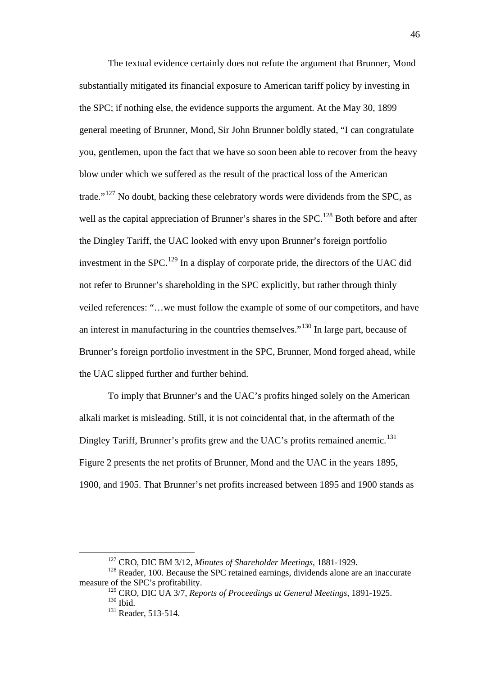The textual evidence certainly does not refute the argument that Brunner, Mond substantially mitigated its financial exposure to American tariff policy by investing in the SPC; if nothing else, the evidence supports the argument. At the May 30, 1899 general meeting of Brunner, Mond, Sir John Brunner boldly stated, "I can congratulate you, gentlemen, upon the fact that we have so soon been able to recover from the heavy blow under which we suffered as the result of the practical loss of the American trade."<sup>[127](#page-46-2)</sup> No doubt, backing these celebratory words were dividends from the SPC, as well as the capital appreciation of Brunner's shares in the SPC.<sup>[128](#page-47-0)</sup> Both before and after the Dingley Tariff, the UAC looked with envy upon Brunner's foreign portfolio investment in the SPC.<sup>[129](#page-47-1)</sup> In a display of corporate pride, the directors of the UAC did not refer to Brunner's shareholding in the SPC explicitly, but rather through thinly veiled references: "…we must follow the example of some of our competitors, and have an interest in manufacturing in the countries themselves."[130](#page-47-2) In large part, because of Brunner's foreign portfolio investment in the SPC, Brunner, Mond forged ahead, while the UAC slipped further and further behind.

To imply that Brunner's and the UAC's profits hinged solely on the American alkali market is misleading. Still, it is not coincidental that, in the aftermath of the Dingley Tariff, Brunner's profits grew and the UAC's profits remained anemic.<sup>[131](#page-47-3)</sup> Figure 2 presents the net profits of Brunner, Mond and the UAC in the years 1895, 1900, and 1905. That Brunner's net profits increased between 1895 and 1900 stands as

 <sup>127</sup> CRO, DIC BM 3/12, *Minutes of Shareholder Meetings*, 1881-1929.

<span id="page-47-3"></span><span id="page-47-2"></span><span id="page-47-1"></span><span id="page-47-0"></span><sup>&</sup>lt;sup>128</sup> Reader, 100. Because the SPC retained earnings, dividends alone are an inaccurate measure of the SPC's profitability.

<sup>129</sup> CRO, DIC UA 3/7, *Reports of Proceedings at General Meetings*, 1891-1925.  $^{130}$  Ibid.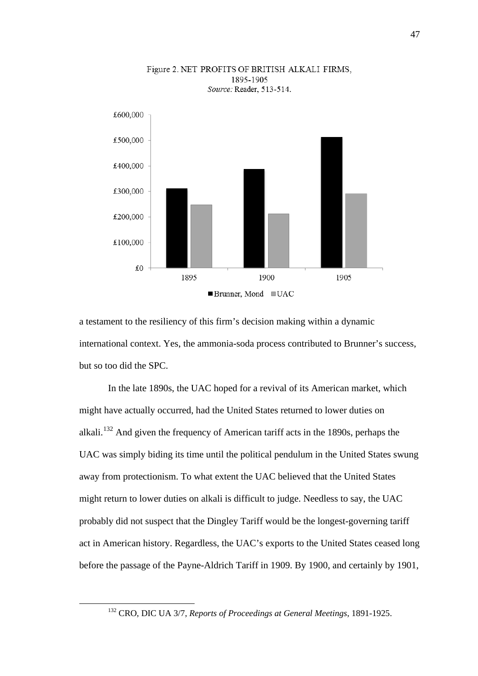

Figure 2. NET PROFITS OF BRITISH ALKALI FIRMS, 1895-1905 Source: Reader, 513-514.

a testament to the resiliency of this firm's decision making within a dynamic international context. Yes, the ammonia-soda process contributed to Brunner's success, but so too did the SPC.

In the late 1890s, the UAC hoped for a revival of its American market, which might have actually occurred, had the United States returned to lower duties on alkali.[132](#page-47-3) And given the frequency of American tariff acts in the 1890s, perhaps the UAC was simply biding its time until the political pendulum in the United States swung away from protectionism. To what extent the UAC believed that the United States might return to lower duties on alkali is difficult to judge. Needless to say, the UAC probably did not suspect that the Dingley Tariff would be the longest-governing tariff act in American history. Regardless, the UAC's exports to the United States ceased long before the passage of the Payne-Aldrich Tariff in 1909. By 1900, and certainly by 1901,

<span id="page-48-0"></span> <sup>132</sup> CRO, DIC UA 3/7, *Reports of Proceedings at General Meetings*, 1891-1925.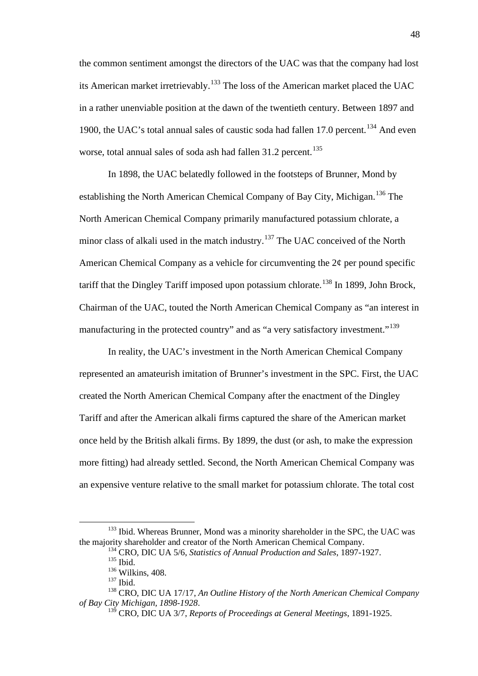the common sentiment amongst the directors of the UAC was that the company had lost its American market irretrievably.[133](#page-48-0) The loss of the American market placed the UAC in a rather unenviable position at the dawn of the twentieth century. Between 1897 and 1900, the UAC's total annual sales of caustic soda had fallen 17.0 percent.<sup>[134](#page-49-0)</sup> And even worse, total annual sales of soda ash had fallen  $31.2$  percent.<sup>[135](#page-49-1)</sup>

In 1898, the UAC belatedly followed in the footsteps of Brunner, Mond by establishing the North American Chemical Company of Bay City, Michigan.<sup>[136](#page-49-2)</sup> The North American Chemical Company primarily manufactured potassium chlorate, a minor class of alkali used in the match industry.<sup>[137](#page-49-3)</sup> The UAC conceived of the North American Chemical Company as a vehicle for circumventing the  $2\varphi$  per pound specific tariff that the Dingley Tariff imposed upon potassium chlorate.<sup>[138](#page-49-4)</sup> In 1899, John Brock, Chairman of the UAC, touted the North American Chemical Company as "an interest in manufacturing in the protected country" and as "a very satisfactory investment."<sup>[139](#page-49-5)</sup>

In reality, the UAC's investment in the North American Chemical Company represented an amateurish imitation of Brunner's investment in the SPC. First, the UAC created the North American Chemical Company after the enactment of the Dingley Tariff and after the American alkali firms captured the share of the American market once held by the British alkali firms. By 1899, the dust (or ash, to make the expression more fitting) had already settled. Second, the North American Chemical Company was an expensive venture relative to the small market for potassium chlorate. The total cost

<span id="page-49-0"></span><sup>&</sup>lt;sup>133</sup> Ibid. Whereas Brunner, Mond was a minority shareholder in the SPC, the UAC was the majority shareholder and creator of the North American Chemical Company.

<sup>134</sup> CRO, DIC UA 5/6, *Statistics of Annual Production and Sales*, 1897-1927.

<sup>135</sup> Ibid.

<sup>136</sup> Wilkins, 408.

<sup>137</sup> Ibid.

<span id="page-49-5"></span><span id="page-49-4"></span><span id="page-49-3"></span><span id="page-49-2"></span><span id="page-49-1"></span><sup>&</sup>lt;sup>138</sup> CRO, DIC UA 17/17, *An Outline History of the North American Chemical Company of Bay City Michigan, 1898-1928.* 

<sup>&</sup>lt;sup>139</sup> CRO, DIC UA 3/7, *Reports of Proceedings at General Meetings*, 1891-1925.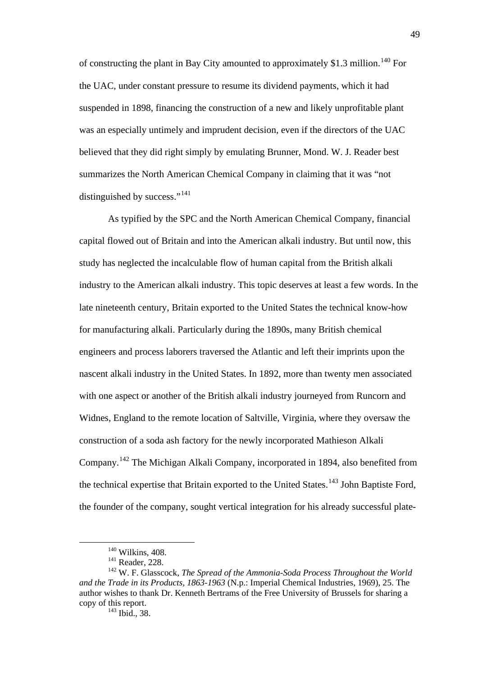of constructing the plant in Bay City amounted to approximately \$1.3 million.[140](#page-49-0) For the UAC, under constant pressure to resume its dividend payments, which it had suspended in 1898, financing the construction of a new and likely unprofitable plant was an especially untimely and imprudent decision, even if the directors of the UAC believed that they did right simply by emulating Brunner, Mond. W. J. Reader best summarizes the North American Chemical Company in claiming that it was "not distinguished by success."<sup>[141](#page-50-0)</sup>

As typified by the SPC and the North American Chemical Company, financial capital flowed out of Britain and into the American alkali industry. But until now, this study has neglected the incalculable flow of human capital from the British alkali industry to the American alkali industry. This topic deserves at least a few words. In the late nineteenth century, Britain exported to the United States the technical know-how for manufacturing alkali. Particularly during the 1890s, many British chemical engineers and process laborers traversed the Atlantic and left their imprints upon the nascent alkali industry in the United States. In 1892, more than twenty men associated with one aspect or another of the British alkali industry journeyed from Runcorn and Widnes, England to the remote location of Saltville, Virginia, where they oversaw the construction of a soda ash factory for the newly incorporated Mathieson Alkali Company.[142](#page-50-1) The Michigan Alkali Company, incorporated in 1894, also benefited from the technical expertise that Britain exported to the United States.<sup>[143](#page-50-2)</sup> John Baptiste Ford, the founder of the company, sought vertical integration for his already successful plate-

 $143$  Ibid., 38.

 <sup>140</sup> Wilkins, 408.

<sup>141</sup> Reader, 228.

<span id="page-50-3"></span><span id="page-50-2"></span><span id="page-50-1"></span><span id="page-50-0"></span><sup>142</sup> W. F. Glasscock, *The Spread of the Ammonia-Soda Process Throughout the World and the Trade in its Products, 1863-1963* (N.p.: Imperial Chemical Industries, 1969), 25. The author wishes to thank Dr. Kenneth Bertrams of the Free University of Brussels for sharing a copy of this report.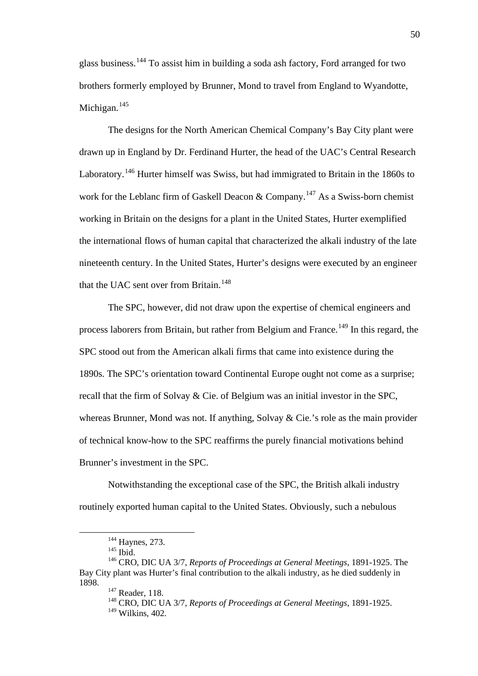glass business. [144](#page-50-3) To assist him in building a soda ash factory, Ford arranged for two brothers formerly employed by Brunner, Mond to travel from England to Wyandotte, Michigan. $145$ 

The designs for the North American Chemical Company's Bay City plant were drawn up in England by Dr. Ferdinand Hurter, the head of the UAC's Central Research Laboratory.<sup>[146](#page-51-1)</sup> Hurter himself was Swiss, but had immigrated to Britain in the 1860s to work for the Leblanc firm of Gaskell Deacon & Company.<sup>[147](#page-51-2)</sup> As a Swiss-born chemist working in Britain on the designs for a plant in the United States, Hurter exemplified the international flows of human capital that characterized the alkali industry of the late nineteenth century. In the United States, Hurter's designs were executed by an engineer that the UAC sent over from Britain.<sup>[148](#page-51-3)</sup>

The SPC, however, did not draw upon the expertise of chemical engineers and process laborers from Britain, but rather from Belgium and France.<sup>[149](#page-51-4)</sup> In this regard, the SPC stood out from the American alkali firms that came into existence during the 1890s. The SPC's orientation toward Continental Europe ought not come as a surprise; recall that the firm of Solvay & Cie. of Belgium was an initial investor in the SPC, whereas Brunner, Mond was not. If anything, Solvay & Cie.'s role as the main provider of technical know-how to the SPC reaffirms the purely financial motivations behind Brunner's investment in the SPC.

Notwithstanding the exceptional case of the SPC, the British alkali industry routinely exported human capital to the United States. Obviously, such a nebulous

<sup>&</sup>lt;sup>144</sup> Haynes, 273.

<sup>&</sup>lt;sup>145</sup> Ibid.

<span id="page-51-5"></span><span id="page-51-4"></span><span id="page-51-3"></span><span id="page-51-2"></span><span id="page-51-1"></span><span id="page-51-0"></span><sup>146</sup> CRO, DIC UA 3/7, *Reports of Proceedings at General Meetings*, 1891-1925. The Bay City plant was Hurter's final contribution to the alkali industry, as he died suddenly in 1898.

<sup>&</sup>lt;sup>147</sup> Reader, 118.<br><sup>148</sup> CRO, DIC UA 3/7, *Reports of Proceedings at General Meetings*, 1891-1925.

 $149$  Wilkins, 402.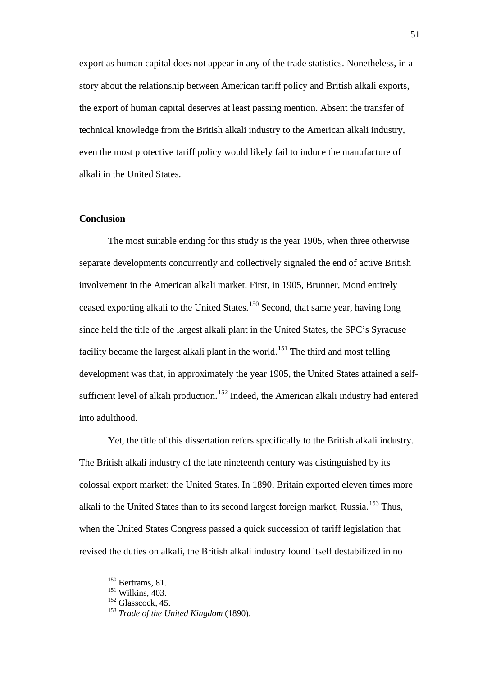export as human capital does not appear in any of the trade statistics. Nonetheless, in a story about the relationship between American tariff policy and British alkali exports, the export of human capital deserves at least passing mention. Absent the transfer of technical knowledge from the British alkali industry to the American alkali industry, even the most protective tariff policy would likely fail to induce the manufacture of alkali in the United States.

# **Conclusion**

The most suitable ending for this study is the year 1905, when three otherwise separate developments concurrently and collectively signaled the end of active British involvement in the American alkali market. First, in 1905, Brunner, Mond entirely ceased exporting alkali to the United States. [150](#page-51-5) Second, that same year, having long since held the title of the largest alkali plant in the United States, the SPC's Syracuse facility became the largest alkali plant in the world.<sup>[151](#page-52-0)</sup> The third and most telling development was that, in approximately the year 1905, the United States attained a self-sufficient level of alkali production.<sup>[152](#page-52-1)</sup> Indeed, the American alkali industry had entered into adulthood.

Yet, the title of this dissertation refers specifically to the British alkali industry. The British alkali industry of the late nineteenth century was distinguished by its colossal export market: the United States. In 1890, Britain exported eleven times more alkali to the United States than to its second largest foreign market, Russia.<sup>[153](#page-52-2)</sup> Thus, when the United States Congress passed a quick succession of tariff legislation that revised the duties on alkali, the British alkali industry found itself destabilized in no

<sup>&</sup>lt;sup>150</sup> Bertrams, 81.

<span id="page-52-0"></span><sup>151</sup> Wilkins, 403.

<span id="page-52-1"></span> $152$  Glasscock, 45.

<span id="page-52-2"></span><sup>153</sup> *Trade of the United Kingdom* (1890).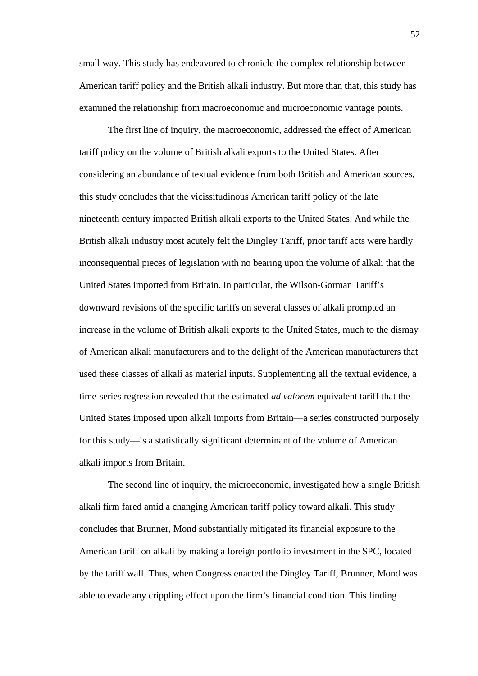small way. This study has endeavored to chronicle the complex relationship between American tariff policy and the British alkali industry. But more than that, this study has examined the relationship from macroeconomic and microeconomic vantage points.

The first line of inquiry, the macroeconomic, addressed the effect of American tariff policy on the volume of British alkali exports to the United States. After considering an abundance of textual evidence from both British and American sources, this study concludes that the vicissitudinous American tariff policy of the late nineteenth century impacted British alkali exports to the United States. And while the British alkali industry most acutely felt the Dingley Tariff, prior tariff acts were hardly inconsequential pieces of legislation with no bearing upon the volume of alkali that the United States imported from Britain. In particular, the Wilson-Gorman Tariff's downward revisions of the specific tariffs on several classes of alkali prompted an increase in the volume of British alkali exports to the United States, much to the dismay of American alkali manufacturers and to the delight of the American manufacturers that used these classes of alkali as material inputs. Supplementing all the textual evidence, a time-series regression revealed that the estimated *ad valorem* equivalent tariff that the United States imposed upon alkali imports from Britain—a series constructed purposely for this study—is a statistically significant determinant of the volume of American alkali imports from Britain.

The second line of inquiry, the microeconomic, investigated how a single British alkali firm fared amid a changing American tariff policy toward alkali. This study concludes that Brunner, Mond substantially mitigated its financial exposure to the American tariff on alkali by making a foreign portfolio investment in the SPC, located by the tariff wall. Thus, when Congress enacted the Dingley Tariff, Brunner, Mond was able to evade any crippling effect upon the firm's financial condition. This finding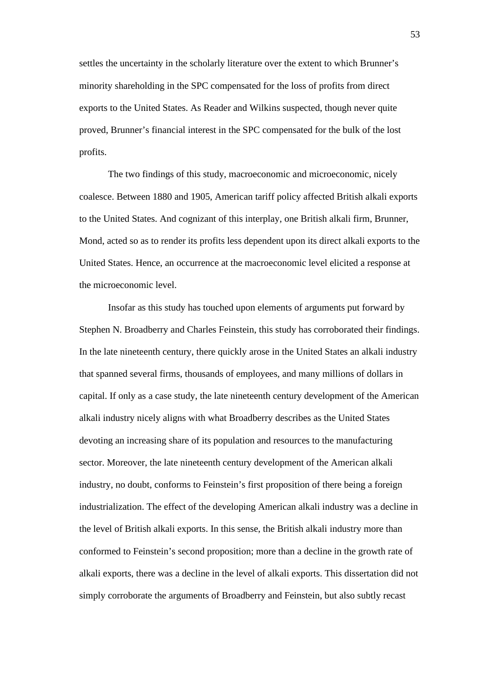settles the uncertainty in the scholarly literature over the extent to which Brunner's minority shareholding in the SPC compensated for the loss of profits from direct exports to the United States. As Reader and Wilkins suspected, though never quite proved, Brunner's financial interest in the SPC compensated for the bulk of the lost profits.

The two findings of this study, macroeconomic and microeconomic, nicely coalesce. Between 1880 and 1905, American tariff policy affected British alkali exports to the United States. And cognizant of this interplay, one British alkali firm, Brunner, Mond, acted so as to render its profits less dependent upon its direct alkali exports to the United States. Hence, an occurrence at the macroeconomic level elicited a response at the microeconomic level.

Insofar as this study has touched upon elements of arguments put forward by Stephen N. Broadberry and Charles Feinstein, this study has corroborated their findings. In the late nineteenth century, there quickly arose in the United States an alkali industry that spanned several firms, thousands of employees, and many millions of dollars in capital. If only as a case study, the late nineteenth century development of the American alkali industry nicely aligns with what Broadberry describes as the United States devoting an increasing share of its population and resources to the manufacturing sector. Moreover, the late nineteenth century development of the American alkali industry, no doubt, conforms to Feinstein's first proposition of there being a foreign industrialization. The effect of the developing American alkali industry was a decline in the level of British alkali exports. In this sense, the British alkali industry more than conformed to Feinstein's second proposition; more than a decline in the growth rate of alkali exports, there was a decline in the level of alkali exports. This dissertation did not simply corroborate the arguments of Broadberry and Feinstein, but also subtly recast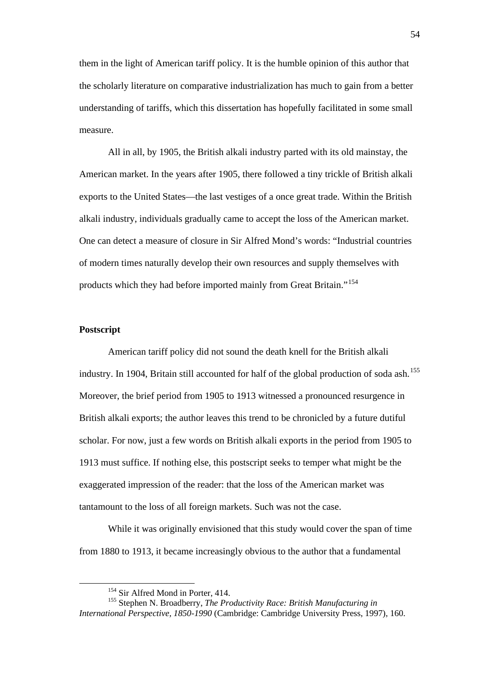them in the light of American tariff policy. It is the humble opinion of this author that the scholarly literature on comparative industrialization has much to gain from a better understanding of tariffs, which this dissertation has hopefully facilitated in some small measure.

All in all, by 1905, the British alkali industry parted with its old mainstay, the American market. In the years after 1905, there followed a tiny trickle of British alkali exports to the United States—the last vestiges of a once great trade. Within the British alkali industry, individuals gradually came to accept the loss of the American market. One can detect a measure of closure in Sir Alfred Mond's words: "Industrial countries of modern times naturally develop their own resources and supply themselves with products which they had before imported mainly from Great Britain."[154](#page-52-0)

### **Postscript**

American tariff policy did not sound the death knell for the British alkali industry. In 1904, Britain still accounted for half of the global production of soda ash.<sup>[155](#page-55-0)</sup> Moreover, the brief period from 1905 to 1913 witnessed a pronounced resurgence in British alkali exports; the author leaves this trend to be chronicled by a future dutiful scholar. For now, just a few words on British alkali exports in the period from 1905 to 1913 must suffice. If nothing else, this postscript seeks to temper what might be the exaggerated impression of the reader: that the loss of the American market was tantamount to the loss of all foreign markets. Such was not the case.

<span id="page-55-1"></span>While it was originally envisioned that this study would cover the span of time from 1880 to 1913, it became increasingly obvious to the author that a fundamental

<sup>&</sup>lt;sup>154</sup> Sir Alfred Mond in Porter, 414.

<span id="page-55-0"></span><sup>155</sup> Stephen N. Broadberry, *The Productivity Race: British Manufacturing in International Perspective, 1850-1990* (Cambridge: Cambridge University Press, 1997), 160.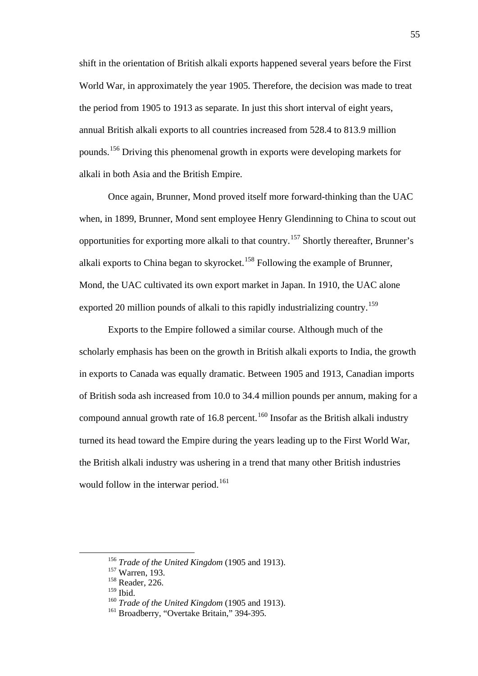shift in the orientation of British alkali exports happened several years before the First World War, in approximately the year 1905. Therefore, the decision was made to treat the period from 1905 to 1913 as separate. In just this short interval of eight years, annual British alkali exports to all countries increased from 528.4 to 813.9 million pounds.[156](#page-55-1) Driving this phenomenal growth in exports were developing markets for alkali in both Asia and the British Empire.

Once again, Brunner, Mond proved itself more forward-thinking than the UAC when, in 1899, Brunner, Mond sent employee Henry Glendinning to China to scout out opportunities for exporting more alkali to that country.<sup>[157](#page-56-0)</sup> Shortly thereafter, Brunner's alkali exports to China began to skyrocket.<sup>[158](#page-56-1)</sup> Following the example of Brunner, Mond, the UAC cultivated its own export market in Japan. In 1910, the UAC alone exported 20 million pounds of alkali to this rapidly industrializing country.<sup>[159](#page-56-2)</sup>

Exports to the Empire followed a similar course. Although much of the scholarly emphasis has been on the growth in British alkali exports to India, the growth in exports to Canada was equally dramatic. Between 1905 and 1913, Canadian imports of British soda ash increased from 10.0 to 34.4 million pounds per annum, making for a compound annual growth rate of  $16.8$  percent.<sup>[160](#page-56-3)</sup> Insofar as the British alkali industry turned its head toward the Empire during the years leading up to the First World War, the British alkali industry was ushering in a trend that many other British industries would follow in the interwar period.<sup>[161](#page-56-4)</sup>

<span id="page-56-5"></span> <sup>156</sup> *Trade of the United Kingdom* (1905 and 1913).

<span id="page-56-0"></span><sup>157</sup> Warren, 193.

<span id="page-56-1"></span><sup>158</sup> Reader, 226.

<span id="page-56-2"></span><sup>159</sup> Ibid.

<span id="page-56-3"></span><sup>160</sup> *Trade of the United Kingdom* (1905 and 1913).

<span id="page-56-4"></span><sup>&</sup>lt;sup>161</sup> Broadberry, "Overtake Britain," 394-395.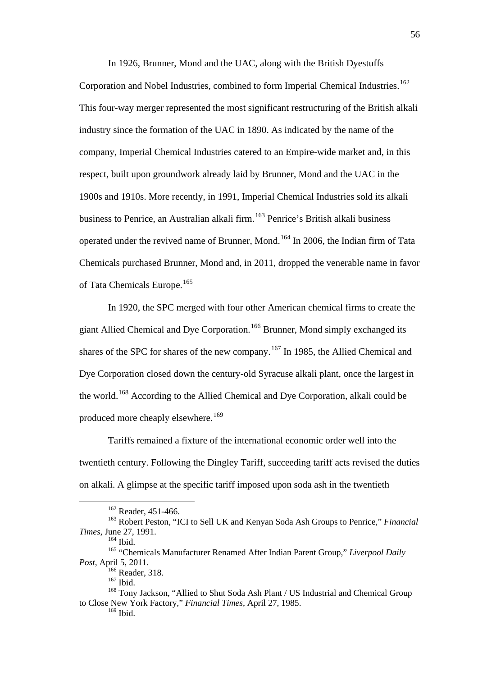In 1926, Brunner, Mond and the UAC, along with the British Dyestuffs Corporation and Nobel Industries, combined to form Imperial Chemical Industries.<sup>[162](#page-56-5)</sup> This four-way merger represented the most significant restructuring of the British alkali industry since the formation of the UAC in 1890. As indicated by the name of the company, Imperial Chemical Industries catered to an Empire-wide market and, in this respect, built upon groundwork already laid by Brunner, Mond and the UAC in the 1900s and 1910s. More recently, in 1991, Imperial Chemical Industries sold its alkali business to Penrice, an Australian alkali firm.<sup>[163](#page-57-0)</sup> Penrice's British alkali business operated under the revived name of Brunner, Mond.[164](#page-57-1) In 2006, the Indian firm of Tata Chemicals purchased Brunner, Mond and, in 2011, dropped the venerable name in favor of Tata Chemicals Europe.<sup>[165](#page-57-2)</sup>

In 1920, the SPC merged with four other American chemical firms to create the giant Allied Chemical and Dye Corporation.[166](#page-57-3) Brunner, Mond simply exchanged its shares of the SPC for shares of the new company.<sup>[167](#page-57-4)</sup> In 1985, the Allied Chemical and Dye Corporation closed down the century-old Syracuse alkali plant, once the largest in the world.[168](#page-57-5) According to the Allied Chemical and Dye Corporation, alkali could be produced more cheaply elsewhere.<sup>[169](#page-57-6)</sup>

Tariffs remained a fixture of the international economic order well into the twentieth century. Following the Dingley Tariff, succeeding tariff acts revised the duties on alkali. A glimpse at the specific tariff imposed upon soda ash in the twentieth

<sup>&</sup>lt;sup>162</sup> Reader, 451-466.

<span id="page-57-0"></span><sup>163</sup> Robert Peston, "ICI to Sell UK and Kenyan Soda Ash Groups to Penrice," *Financial Times*, June 27, 1991.

<sup>164</sup> Ibid.

<span id="page-57-2"></span><span id="page-57-1"></span><sup>165</sup> "Chemicals Manufacturer Renamed After Indian Parent Group," *Liverpool Daily Post*, April 5, 2011.

<sup>&</sup>lt;sup>166</sup> Reader, 318.

<sup>&</sup>lt;sup>167</sup> Ibid.

<span id="page-57-6"></span><span id="page-57-5"></span><span id="page-57-4"></span><span id="page-57-3"></span><sup>168</sup> Tony Jackson, "Allied to Shut Soda Ash Plant / US Industrial and Chemical Group to Close New York Factory," *Financial Times*, April 27, 1985. <sup>169</sup> Ibid.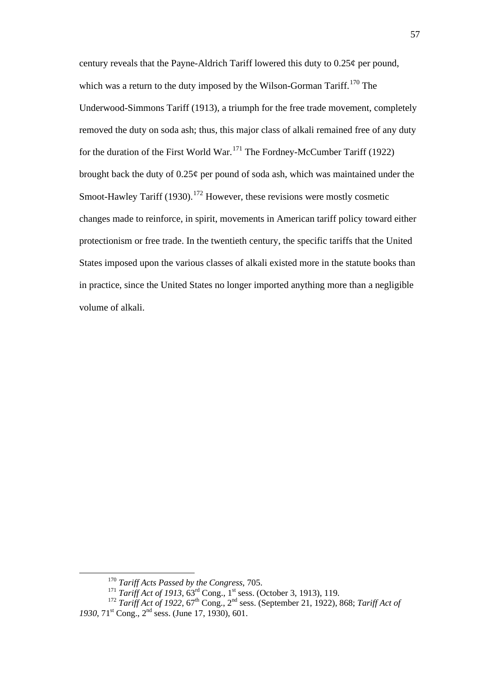century reveals that the Payne-Aldrich Tariff lowered this duty to  $0.25\phi$  per pound, which was a return to the duty imposed by the Wilson-Gorman Tariff.<sup>[170](#page-57-4)</sup> The Underwood-Simmons Tariff (1913), a triumph for the free trade movement, completely removed the duty on soda ash; thus, this major class of alkali remained free of any duty for the duration of the First World War.<sup>[171](#page-58-0)</sup> The Fordney-McCumber Tariff (1922) brought back the duty of 0.25¢ per pound of soda ash, which was maintained under the Smoot-Hawley Tariff (1930).<sup>[172](#page-58-1)</sup> However, these revisions were mostly cosmetic changes made to reinforce, in spirit, movements in American tariff policy toward either protectionism or free trade. In the twentieth century, the specific tariffs that the United States imposed upon the various classes of alkali existed more in the statute books than in practice, since the United States no longer imported anything more than a negligible volume of alkali.

 <sup>170</sup> *Tariff Acts Passed by the Congress*, 705.

<sup>&</sup>lt;sup>171</sup> *Tariff Act of 1913*, 63<sup>rd</sup> Cong., 1<sup>st</sup> sess. (October 3, 1913), 119.

<span id="page-58-1"></span><span id="page-58-0"></span><sup>&</sup>lt;sup>172</sup> *Tariff Act of 1922*,  $67<sup>th</sup>$  Cong.,  $2<sup>nd</sup>$  sess. (September 21, 1922), 868; *Tariff Act of 1930*, 71st Cong., 2nd sess. (June 17, 1930), 601.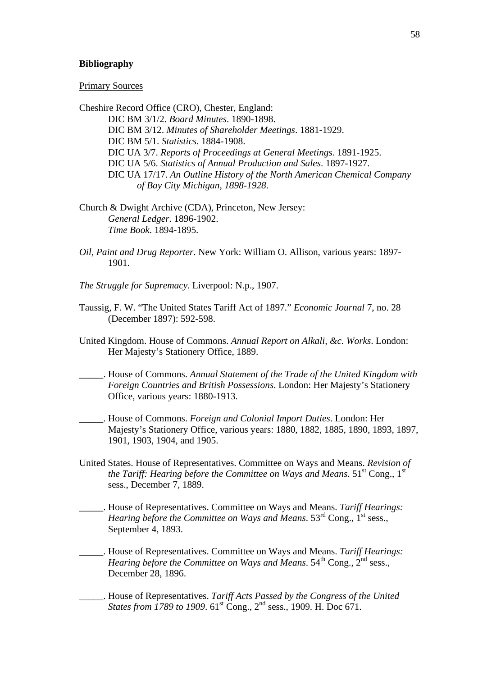#### **Bibliography**

#### Primary Sources

Cheshire Record Office (CRO), Chester, England: DIC BM 3/1/2. *Board Minutes*. 1890-1898. DIC BM 3/12. *Minutes of Shareholder Meetings*. 1881-1929. DIC BM 5/1. *Statistics*. 1884-1908. DIC UA 3/7. *Reports of Proceedings at General Meetings*. 1891-1925. DIC UA 5/6. *Statistics of Annual Production and Sales*. 1897-1927. DIC UA 17/17. *An Outline History of the North American Chemical Company of Bay City Michigan, 1898-1928*.

- Church & Dwight Archive (CDA), Princeton, New Jersey: *General Ledger*. 1896-1902. *Time Book*. 1894-1895.
- *Oil, Paint and Drug Reporter*. New York: William O. Allison, various years: 1897- 1901.
- *The Struggle for Supremacy*. Liverpool: N.p., 1907.
- Taussig, F. W. "The United States Tariff Act of 1897." *Economic Journal* 7, no. 28 (December 1897): 592-598.
- United Kingdom. House of Commons. *Annual Report on Alkali, &c. Works*. London: Her Majesty's Stationery Office, 1889.
- \_\_\_\_\_. House of Commons. *Annual Statement of the Trade of the United Kingdom with Foreign Countries and British Possessions*. London: Her Majesty's Stationery Office, various years: 1880-1913.
- \_\_\_\_\_. House of Commons. *Foreign and Colonial Import Duties*. London: Her Majesty's Stationery Office, various years: 1880, 1882, 1885, 1890, 1893, 1897, 1901, 1903, 1904, and 1905.
- United States. House of Representatives. Committee on Ways and Means. *Revision of the Tariff: Hearing before the Committee on Ways and Means*. 51st Cong., 1st sess., December 7, 1889.
- \_\_\_\_\_. House of Representatives. Committee on Ways and Means. *Tariff Hearings: Hearing before the Committee on Ways and Means.* 53<sup>rd</sup> Cong., 1<sup>st</sup> sess., September 4, 1893.
- \_\_\_\_\_. House of Representatives. Committee on Ways and Means. *Tariff Hearings: Hearing before the Committee on Ways and Means.* 54<sup>th</sup> Cong., 2<sup>nd</sup> sess., December 28, 1896.
- \_\_\_\_\_. House of Representatives. *Tariff Acts Passed by the Congress of the United States from 1789 to 1909*.  $61^{st}$  Cong.,  $2^{nd}$  sess., 1909. H. Doc 671.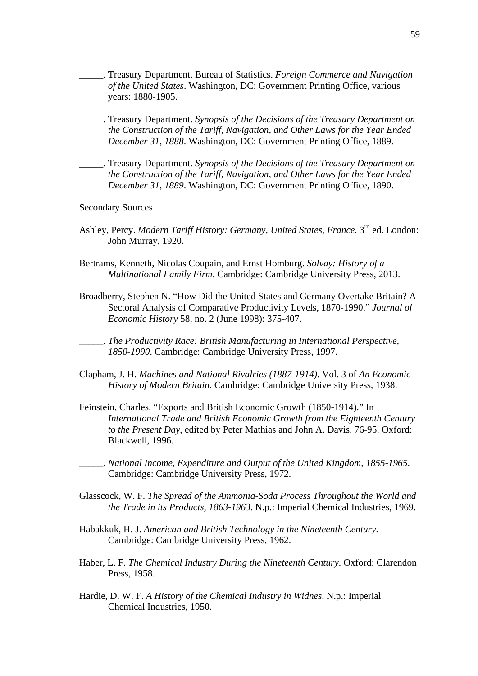- \_\_\_\_\_. Treasury Department. Bureau of Statistics. *Foreign Commerce and Navigation of the United States*. Washington, DC: Government Printing Office, various years: 1880-1905.
- \_\_\_\_\_. Treasury Department. *Synopsis of the Decisions of the Treasury Department on the Construction of the Tariff, Navigation, and Other Laws for the Year Ended December 31, 1888*. Washington, DC: Government Printing Office, 1889.
- \_\_\_\_\_. Treasury Department. *Synopsis of the Decisions of the Treasury Department on the Construction of the Tariff, Navigation, and Other Laws for the Year Ended December 31, 1889*. Washington, DC: Government Printing Office, 1890.

Secondary Sources

- Ashley, Percy. *Modern Tariff History: Germany, United States, France*. 3<sup>rd</sup> ed. London: John Murray, 1920.
- Bertrams, Kenneth, Nicolas Coupain, and Ernst Homburg. *Solvay: History of a Multinational Family Firm*. Cambridge: Cambridge University Press, 2013.
- Broadberry, Stephen N. "How Did the United States and Germany Overtake Britain? A Sectoral Analysis of Comparative Productivity Levels, 1870-1990." *Journal of Economic History* 58, no. 2 (June 1998): 375-407.

\_\_\_\_\_. *The Productivity Race: British Manufacturing in International Perspective, 1850-1990*. Cambridge: Cambridge University Press, 1997.

- Clapham, J. H. *Machines and National Rivalries (1887-1914)*. Vol. 3 of *An Economic History of Modern Britain*. Cambridge: Cambridge University Press, 1938.
- Feinstein, Charles. "Exports and British Economic Growth (1850-1914)." In *International Trade and British Economic Growth from the Eighteenth Century to the Present Day*, edited by Peter Mathias and John A. Davis, 76-95. Oxford: Blackwell, 1996.
	- \_\_\_\_\_. *National Income, Expenditure and Output of the United Kingdom, 1855-1965*. Cambridge: Cambridge University Press, 1972.
- Glasscock, W. F. *The Spread of the Ammonia-Soda Process Throughout the World and the Trade in its Products, 1863-1963*. N.p.: Imperial Chemical Industries, 1969.
- Habakkuk, H. J. *American and British Technology in the Nineteenth Century*. Cambridge: Cambridge University Press, 1962.
- Haber, L. F. *The Chemical Industry During the Nineteenth Century*. Oxford: Clarendon Press, 1958.
- Hardie, D. W. F. *A History of the Chemical Industry in Widnes*. N.p.: Imperial Chemical Industries, 1950.